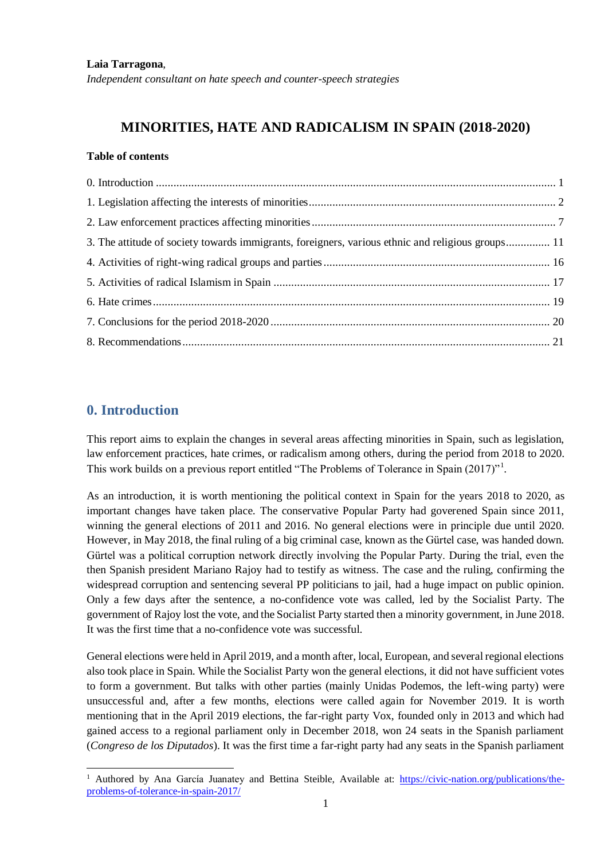#### **Laia Tarragona**,

*Independent consultant on hate speech and counter-speech strategies*

## **MINORITIES, HATE AND RADICALISM IN SPAIN (2018-2020)**

#### **Table of contents**

| 3. The attitude of society towards immigrants, foreigners, various ethnic and religious groups 11 |  |
|---------------------------------------------------------------------------------------------------|--|
|                                                                                                   |  |
|                                                                                                   |  |
|                                                                                                   |  |
|                                                                                                   |  |
|                                                                                                   |  |

### <span id="page-0-0"></span>**0. Introduction**

 $\overline{a}$ 

This report aims to explain the changes in several areas affecting minorities in Spain, such as legislation, law enforcement practices, hate crimes, or radicalism among others, during the period from 2018 to 2020. This work builds on a previous report entitled "The Problems of Tolerance in Spain (2017)"<sup>1</sup>.

As an introduction, it is worth mentioning the political context in Spain for the years 2018 to 2020, as important changes have taken place. The conservative Popular Party had goverened Spain since 2011, winning the general elections of 2011 and 2016. No general elections were in principle due until 2020. However, in May 2018, the final ruling of a big criminal case, known as the Gürtel case, was handed down. Gürtel was a political corruption network directly involving the Popular Party. During the trial, even the then Spanish president Mariano Rajoy had to testify as witness. The case and the ruling, confirming the widespread corruption and sentencing several PP politicians to jail, had a huge impact on public opinion. Only a few days after the sentence, a no-confidence vote was called, led by the Socialist Party. The government of Rajoy lost the vote, and the Socialist Party started then a minority government, in June 2018. It was the first time that a no-confidence vote was successful.

General elections were held in April 2019, and a month after, local, European, and several regional elections also took place in Spain. While the Socialist Party won the general elections, it did not have sufficient votes to form a government. But talks with other parties (mainly Unidas Podemos, the left-wing party) were unsuccessful and, after a few months, elections were called again for November 2019. It is worth mentioning that in the April 2019 elections, the far-right party Vox, founded only in 2013 and which had gained access to a regional parliament only in December 2018, won 24 seats in the Spanish parliament (*Congreso de los Diputados*). It was the first time a far-right party had any seats in the Spanish parliament

<sup>&</sup>lt;sup>1</sup> Authored by Ana García Juanatey and Bettina Steible, Available at: [https://civic-nation.org/publications/the](https://civic-nation.org/publications/the-problems-of-tolerance-in-spain-2017/)[problems-of-tolerance-in-spain-2017/](https://civic-nation.org/publications/the-problems-of-tolerance-in-spain-2017/)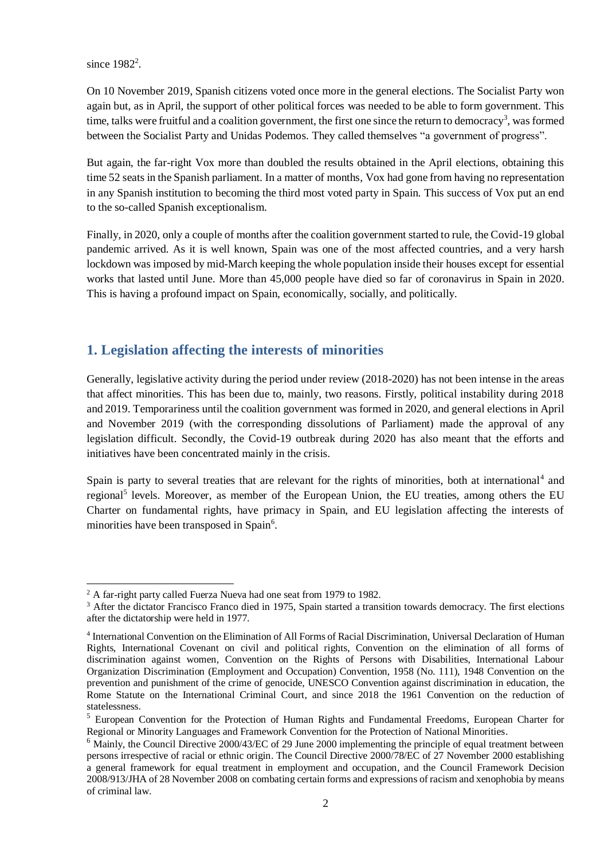since  $1982^2$ .

 $\overline{a}$ 

On 10 November 2019, Spanish citizens voted once more in the general elections. The Socialist Party won again but, as in April, the support of other political forces was needed to be able to form government. This time, talks were fruitful and a coalition government, the first one since the return to democracy<sup>3</sup>, was formed between the Socialist Party and Unidas Podemos. They called themselves "a government of progress".

But again, the far-right Vox more than doubled the results obtained in the April elections, obtaining this time 52 seats in the Spanish parliament. In a matter of months, Vox had gone from having no representation in any Spanish institution to becoming the third most voted party in Spain. This success of Vox put an end to the so-called Spanish exceptionalism.

Finally, in 2020, only a couple of months after the coalition government started to rule, the Covid-19 global pandemic arrived. As it is well known, Spain was one of the most affected countries, and a very harsh lockdown was imposed by mid-March keeping the whole population inside their houses except for essential works that lasted until June. More than 45,000 people have died so far of coronavirus in Spain in 2020. This is having a profound impact on Spain, economically, socially, and politically.

## <span id="page-1-0"></span>**1. Legislation affecting the interests of minorities**

Generally, legislative activity during the period under review (2018-2020) has not been intense in the areas that affect minorities. This has been due to, mainly, two reasons. Firstly, political instability during 2018 and 2019. Temporariness until the coalition government was formed in 2020, and general elections in April and November 2019 (with the corresponding dissolutions of Parliament) made the approval of any legislation difficult. Secondly, the Covid-19 outbreak during 2020 has also meant that the efforts and initiatives have been concentrated mainly in the crisis.

Spain is party to several treaties that are relevant for the rights of minorities, both at international<sup>4</sup> and regional<sup>5</sup> levels. Moreover, as member of the European Union, the EU treaties, among others the EU Charter on fundamental rights, have primacy in Spain, and EU legislation affecting the interests of minorities have been transposed in Spain<sup>6</sup>.

<sup>&</sup>lt;sup>2</sup> A far-right party called Fuerza Nueva had one seat from 1979 to 1982.

<sup>&</sup>lt;sup>3</sup> After the dictator Francisco Franco died in 1975, Spain started a transition towards democracy. The first elections after the dictatorship were held in 1977.

<sup>4</sup> International Convention on the Elimination of All Forms of Racial Discrimination, Universal Declaration of Human Rights, International Covenant on civil and political rights, Convention on the elimination of all forms of discrimination against women, Convention on the Rights of Persons with Disabilities, International Labour Organization Discrimination (Employment and Occupation) Convention, 1958 (No. 111), 1948 Convention on the prevention and punishment of the crime of genocide, UNESCO Convention against discrimination in education, the Rome Statute on the International Criminal Court, and since 2018 the 1961 Convention on the reduction of statelessness.

<sup>&</sup>lt;sup>5</sup> European Convention for the Protection of Human Rights and Fundamental Freedoms, European Charter for Regional or Minority Languages and Framework Convention for the Protection of National Minorities.

 $6$  Mainly, the Council Directive 2000/43/EC of 29 June 2000 implementing the principle of equal treatment between persons irrespective of racial or ethnic origin. The Council Directive 2000/78/EC of 27 November 2000 establishing a general framework for equal treatment in employment and occupation, and the Council Framework Decision 2008/913/JHA of 28 November 2008 on combating certain forms and expressions of racism and xenophobia by means of criminal law.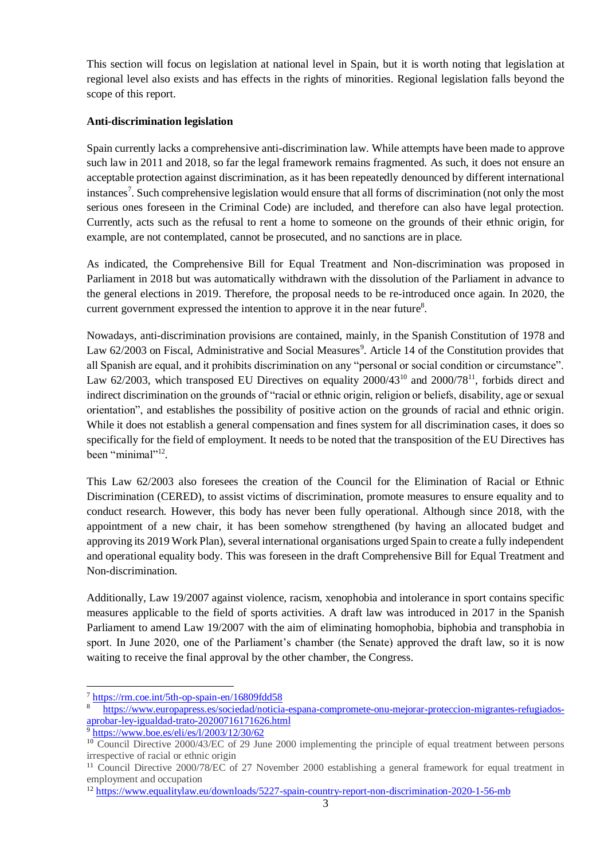This section will focus on legislation at national level in Spain, but it is worth noting that legislation at regional level also exists and has effects in the rights of minorities. Regional legislation falls beyond the scope of this report.

#### **Anti-discrimination legislation**

Spain currently lacks a comprehensive anti-discrimination law. While attempts have been made to approve such law in 2011 and 2018, so far the legal framework remains fragmented. As such, it does not ensure an acceptable protection against discrimination, as it has been repeatedly denounced by different international instances<sup>7</sup>. Such comprehensive legislation would ensure that all forms of discrimination (not only the most serious ones foreseen in the Criminal Code) are included, and therefore can also have legal protection. Currently, acts such as the refusal to rent a home to someone on the grounds of their ethnic origin, for example, are not contemplated, cannot be prosecuted, and no sanctions are in place.

As indicated, the Comprehensive Bill for Equal Treatment and Non-discrimination was proposed in Parliament in 2018 but was automatically withdrawn with the dissolution of the Parliament in advance to the general elections in 2019. Therefore, the proposal needs to be re-introduced once again. In 2020, the current government expressed the intention to approve it in the near future $8$ .

Nowadays, anti-discrimination provisions are contained, mainly, in the Spanish Constitution of 1978 and Law 62/2003 on Fiscal, Administrative and Social Measures<sup>9</sup>. Article 14 of the Constitution provides that all Spanish are equal, and it prohibits discrimination on any "personal or social condition or circumstance". Law 62/2003, which transposed EU Directives on equality  $2000/43^{10}$  and  $2000/78^{11}$ , forbids direct and indirect discrimination on the grounds of "racial or ethnic origin, religion or beliefs, disability, age or sexual orientation", and establishes the possibility of positive action on the grounds of racial and ethnic origin. While it does not establish a general compensation and fines system for all discrimination cases, it does so specifically for the field of employment. It needs to be noted that the transposition of the EU Directives has been "minimal"<sup>12</sup>.

This Law 62/2003 also foresees the creation of the Council for the Elimination of Racial or Ethnic Discrimination (CERED), to assist victims of discrimination, promote measures to ensure equality and to conduct research. However, this body has never been fully operational. Although since 2018, with the appointment of a new chair, it has been somehow strengthened (by having an allocated budget and approving its 2019 Work Plan), several international organisations urged Spain to create a fully independent and operational equality body. This was foreseen in the draft Comprehensive Bill for Equal Treatment and Non-discrimination.

Additionally, Law 19/2007 against violence, racism, xenophobia and intolerance in sport contains specific measures applicable to the field of sports activities. A draft law was introduced in 2017 in the Spanish Parliament to amend Law 19/2007 with the aim of eliminating homophobia, biphobia and transphobia in sport. In June 2020, one of the Parliament's chamber (the Senate) approved the draft law, so it is now waiting to receive the final approval by the other chamber, the Congress.

l

<sup>7</sup> <https://rm.coe.int/5th-op-spain-en/16809fdd58>

<sup>8</sup> [https://www.europapress.es/sociedad/noticia-espana-compromete-onu-mejorar-proteccion-migrantes-refugiados](https://www.europapress.es/sociedad/noticia-espana-compromete-onu-mejorar-proteccion-migrantes-refugiados-aprobar-ley-igualdad-trato-20200716171626.html)[aprobar-ley-igualdad-trato-20200716171626.html](https://www.europapress.es/sociedad/noticia-espana-compromete-onu-mejorar-proteccion-migrantes-refugiados-aprobar-ley-igualdad-trato-20200716171626.html)

<sup>9</sup> <https://www.boe.es/eli/es/l/2003/12/30/62>

<sup>&</sup>lt;sup>10</sup> Council Directive 2000/43/EC of 29 June 2000 implementing the principle of equal treatment between persons irrespective of racial or ethnic origin

<sup>&</sup>lt;sup>11</sup> Council Directive 2000/78/EC of 27 November 2000 establishing a general framework for equal treatment in employment and occupation

<sup>&</sup>lt;sup>12</sup> <https://www.equalitylaw.eu/downloads/5227-spain-country-report-non-discrimination-2020-1-56-mb>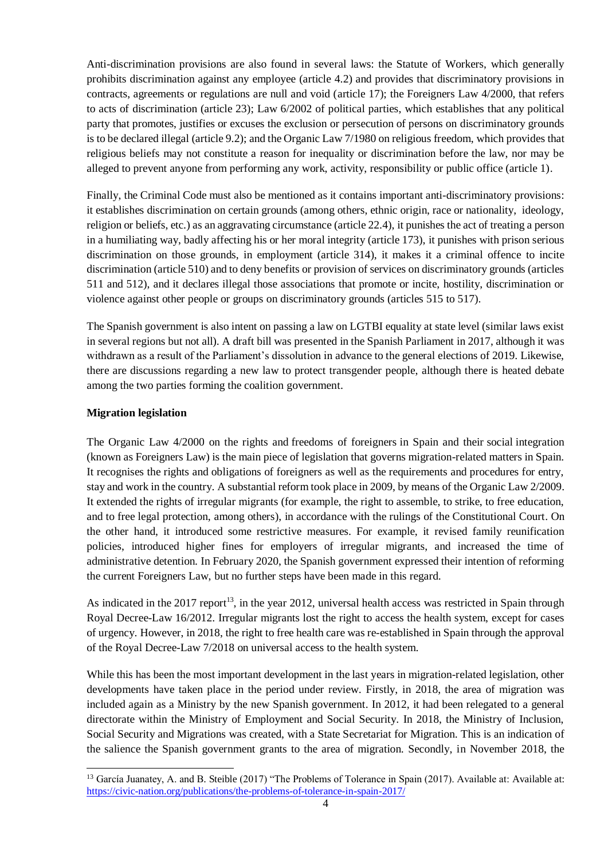Anti-discrimination provisions are also found in several laws: the Statute of Workers, which generally prohibits discrimination against any employee (article 4.2) and provides that discriminatory provisions in contracts, agreements or regulations are null and void (article 17); the Foreigners Law 4/2000, that refers to acts of discrimination (article 23); Law 6/2002 of political parties, which establishes that any political party that promotes, justifies or excuses the exclusion or persecution of persons on discriminatory grounds is to be declared illegal (article 9.2); and the Organic Law 7/1980 on religious freedom, which provides that religious beliefs may not constitute a reason for inequality or discrimination before the law, nor may be alleged to prevent anyone from performing any work, activity, responsibility or public office (article 1).

Finally, the Criminal Code must also be mentioned as it contains important anti-discriminatory provisions: it establishes discrimination on certain grounds (among others, ethnic origin, race or nationality, ideology, religion or beliefs, etc.) as an aggravating circumstance (article 22.4), it punishes the act of treating a person in a humiliating way, badly affecting his or her moral integrity (article 173), it punishes with prison serious discrimination on those grounds, in employment (article 314), it makes it a criminal offence to incite discrimination (article 510) and to deny benefits or provision of services on discriminatory grounds (articles 511 and 512), and it declares illegal those associations that promote or incite, hostility, discrimination or violence against other people or groups on discriminatory grounds (articles 515 to 517).

The Spanish government is also intent on passing a law on LGTBI equality at state level (similar laws exist in several regions but not all). A draft bill was presented in the Spanish Parliament in 2017, although it was withdrawn as a result of the Parliament's dissolution in advance to the general elections of 2019. Likewise, there are discussions regarding a new law to protect transgender people, although there is heated debate among the two parties forming the coalition government.

#### **Migration legislation**

The Organic Law 4/2000 on the rights and freedoms of foreigners in Spain and their social integration (known as Foreigners Law) is the main piece of legislation that governs migration-related matters in Spain. It recognises the rights and obligations of foreigners as well as the requirements and procedures for entry, stay and work in the country. A substantial reform took place in 2009, by means of the Organic Law 2/2009. It extended the rights of irregular migrants (for example, the right to assemble, to strike, to free education, and to free legal protection, among others), in accordance with the rulings of the Constitutional Court. On the other hand, it introduced some restrictive measures. For example, it revised family reunification policies, introduced higher fines for employers of irregular migrants, and increased the time of administrative detention. In February 2020, the Spanish government expressed their intention of reforming the current Foreigners Law, but no further steps have been made in this regard.

As indicated in the 2017 report<sup>13</sup>, in the year 2012, universal health access was restricted in Spain through Royal Decree-Law 16/2012. Irregular migrants lost the right to access the health system, except for cases of urgency. However, in 2018, the right to free health care was re-established in Spain through the approval of the Royal Decree-Law 7/2018 on universal access to the health system.

While this has been the most important development in the last years in migration-related legislation, other developments have taken place in the period under review. Firstly, in 2018, the area of migration was included again as a Ministry by the new Spanish government. In 2012, it had been relegated to a general directorate within the Ministry of Employment and Social Security. In 2018, the Ministry of Inclusion, Social Security and Migrations was created, with a State Secretariat for Migration. This is an indication of the salience the Spanish government grants to the area of migration. Secondly, in November 2018, the

 $\overline{a}$ <sup>13</sup> García Juanatey, A. and B. Steible (2017) "The Problems of Tolerance in Spain (2017). Available at: Available at: <https://civic-nation.org/publications/the-problems-of-tolerance-in-spain-2017/>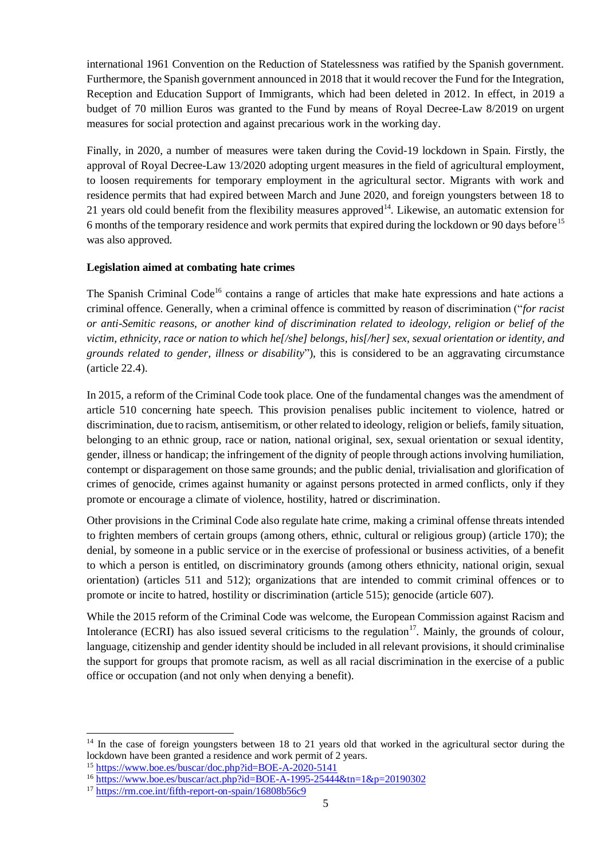international 1961 Convention on the Reduction of Statelessness was ratified by the Spanish government. Furthermore, the Spanish government announced in 2018 that it would recover the Fund for the Integration, Reception and Education Support of Immigrants, which had been deleted in 2012. In effect, in 2019 a budget of 70 million Euros was granted to the Fund by means of Royal Decree-Law 8/2019 on urgent measures for social protection and against precarious work in the working day.

Finally, in 2020, a number of measures were taken during the Covid-19 lockdown in Spain. Firstly, the approval of Royal Decree-Law 13/2020 adopting urgent measures in the field of agricultural employment, to loosen requirements for temporary employment in the agricultural sector. Migrants with work and residence permits that had expired between March and June 2020, and foreign youngsters between 18 to 21 years old could benefit from the flexibility measures approved $14$ . Likewise, an automatic extension for 6 months of the temporary residence and work permits that expired during the lockdown or 90 days before<sup>15</sup> was also approved.

#### **Legislation aimed at combating hate crimes**

The Spanish Criminal Code<sup>16</sup> contains a range of articles that make hate expressions and hate actions a criminal offence. Generally, when a criminal offence is committed by reason of discrimination ("*for racist or anti-Semitic reasons, or another kind of discrimination related to ideology, religion or belief of the victim, ethnicity, race or nation to which he[/she] belongs, his[/her] sex, sexual orientation or identity, and grounds related to gender, illness or disability*"), this is considered to be an aggravating circumstance (article 22.4).

In 2015, a reform of the Criminal Code took place. One of the fundamental changes was the amendment of article 510 concerning hate speech. This provision penalises public incitement to violence, hatred or discrimination, due to racism, antisemitism, or other related to ideology, religion or beliefs, family situation, belonging to an ethnic group, race or nation, national original, sex, sexual orientation or sexual identity, gender, illness or handicap; the infringement of the dignity of people through actions involving humiliation, contempt or disparagement on those same grounds; and the public denial, trivialisation and glorification of crimes of genocide, crimes against humanity or against persons protected in armed conflicts, only if they promote or encourage a climate of violence, hostility, hatred or discrimination.

Other provisions in the Criminal Code also regulate hate crime, making a criminal offense threats intended to frighten members of certain groups (among others, ethnic, cultural or religious group) (article 170); the denial, by someone in a public service or in the exercise of professional or business activities, of a benefit to which a person is entitled, on discriminatory grounds (among others ethnicity, national origin, sexual orientation) (articles 511 and 512); organizations that are intended to commit criminal offences or to promote or incite to hatred, hostility or discrimination (article 515); genocide (article 607).

While the 2015 reform of the Criminal Code was welcome, the European Commission against Racism and Intolerance (ECRI) has also issued several criticisms to the regulation<sup>17</sup>. Mainly, the grounds of colour, language, citizenship and gender identity should be included in all relevant provisions, it should criminalise the support for groups that promote racism, as well as all racial discrimination in the exercise of a public office or occupation (and not only when denying a benefit).

l

 $14$  In the case of foreign youngsters between 18 to 21 years old that worked in the agricultural sector during the lockdown have been granted a residence and work permit of 2 years.

<sup>15</sup> <https://www.boe.es/buscar/doc.php?id=BOE-A-2020-5141>

<sup>16</sup> <https://www.boe.es/buscar/act.php?id=BOE-A-1995-25444&tn=1&p=20190302>

<sup>&</sup>lt;sup>17</sup> <https://rm.coe.int/fifth-report-on-spain/16808b56c9>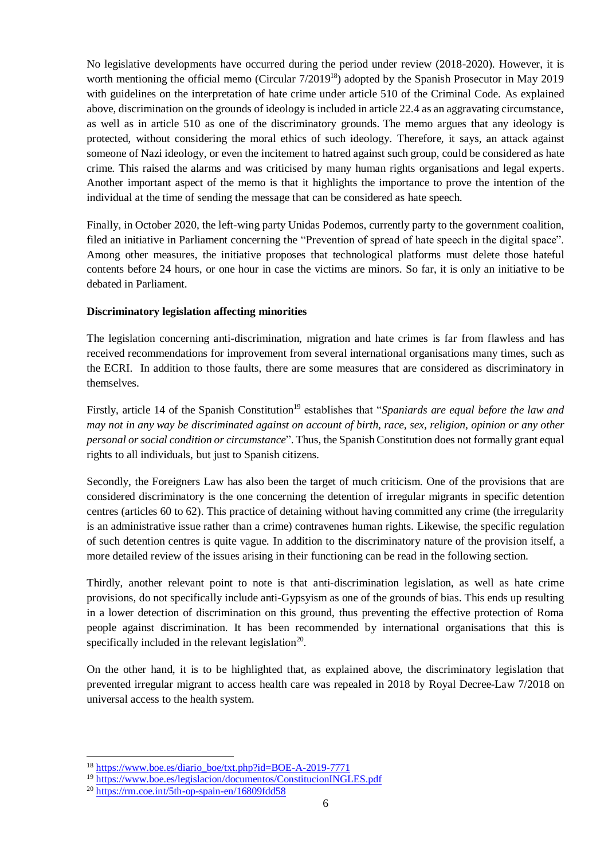No legislative developments have occurred during the period under review (2018-2020). However, it is worth mentioning the official memo (Circular 7/2019<sup>18</sup>) adopted by the Spanish Prosecutor in May 2019 with guidelines on the interpretation of hate crime under article 510 of the Criminal Code. As explained above, discrimination on the grounds of ideology is included in article 22.4 as an aggravating circumstance, as well as in article 510 as one of the discriminatory grounds. The memo argues that any ideology is protected, without considering the moral ethics of such ideology. Therefore, it says, an attack against someone of Nazi ideology, or even the incitement to hatred against such group, could be considered as hate crime. This raised the alarms and was criticised by many human rights organisations and legal experts. Another important aspect of the memo is that it highlights the importance to prove the intention of the individual at the time of sending the message that can be considered as hate speech.

Finally, in October 2020, the left-wing party Unidas Podemos, currently party to the government coalition, filed an initiative in Parliament concerning the "Prevention of spread of hate speech in the digital space". Among other measures, the initiative proposes that technological platforms must delete those hateful contents before 24 hours, or one hour in case the victims are minors. So far, it is only an initiative to be debated in Parliament.

#### **Discriminatory legislation affecting minorities**

The legislation concerning anti-discrimination, migration and hate crimes is far from flawless and has received recommendations for improvement from several international organisations many times, such as the ECRI. In addition to those faults, there are some measures that are considered as discriminatory in themselves.

Firstly, article 14 of the Spanish Constitution<sup>19</sup> establishes that "*Spaniards are equal before the law and may not in any way be discriminated against on account of birth, race, sex, religion, opinion or any other personal or social condition or circumstance*". Thus, the Spanish Constitution does not formally grant equal rights to all individuals, but just to Spanish citizens.

Secondly, the Foreigners Law has also been the target of much criticism. One of the provisions that are considered discriminatory is the one concerning the detention of irregular migrants in specific detention centres (articles 60 to 62). This practice of detaining without having committed any crime (the irregularity is an administrative issue rather than a crime) contravenes human rights. Likewise, the specific regulation of such detention centres is quite vague. In addition to the discriminatory nature of the provision itself, a more detailed review of the issues arising in their functioning can be read in the following section.

Thirdly, another relevant point to note is that anti-discrimination legislation, as well as hate crime provisions, do not specifically include anti-Gypsyism as one of the grounds of bias. This ends up resulting in a lower detection of discrimination on this ground, thus preventing the effective protection of Roma people against discrimination. It has been recommended by international organisations that this is specifically included in the relevant legislation<sup>20</sup>.

On the other hand, it is to be highlighted that, as explained above, the discriminatory legislation that prevented irregular migrant to access health care was repealed in 2018 by Royal Decree-Law 7/2018 on universal access to the health system.

 $\overline{a}$ 

<sup>&</sup>lt;sup>18</sup> [https://www.boe.es/diario\\_boe/txt.php?id=BOE-A-2019-7771](https://www.boe.es/diario_boe/txt.php?id=BOE-A-2019-7771)

<sup>&</sup>lt;sup>19</sup> <https://www.boe.es/legislacion/documentos/ConstitucionINGLES.pdf>

<sup>20</sup> <https://rm.coe.int/5th-op-spain-en/16809fdd58>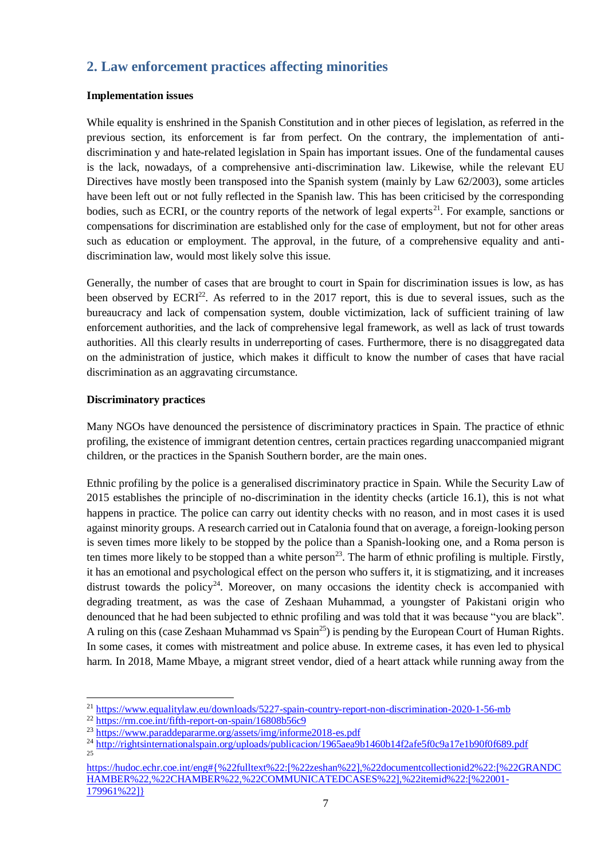## <span id="page-6-0"></span>**2. Law enforcement practices affecting minorities**

#### **Implementation issues**

While equality is enshrined in the Spanish Constitution and in other pieces of legislation, as referred in the previous section, its enforcement is far from perfect. On the contrary, the implementation of antidiscrimination y and hate-related legislation in Spain has important issues. One of the fundamental causes is the lack, nowadays, of a comprehensive anti-discrimination law. Likewise, while the relevant EU Directives have mostly been transposed into the Spanish system (mainly by Law 62/2003), some articles have been left out or not fully reflected in the Spanish law. This has been criticised by the corresponding bodies, such as ECRI, or the country reports of the network of legal experts<sup>21</sup>. For example, sanctions or compensations for discrimination are established only for the case of employment, but not for other areas such as education or employment. The approval, in the future, of a comprehensive equality and antidiscrimination law, would most likely solve this issue.

Generally, the number of cases that are brought to court in Spain for discrimination issues is low, as has been observed by  $ECRI^{22}$ . As referred to in the 2017 report, this is due to several issues, such as the bureaucracy and lack of compensation system, double victimization, lack of sufficient training of law enforcement authorities, and the lack of comprehensive legal framework, as well as lack of trust towards authorities. All this clearly results in underreporting of cases. Furthermore, there is no disaggregated data on the administration of justice, which makes it difficult to know the number of cases that have racial discrimination as an aggravating circumstance.

#### **Discriminatory practices**

Many NGOs have denounced the persistence of discriminatory practices in Spain. The practice of ethnic profiling, the existence of immigrant detention centres, certain practices regarding unaccompanied migrant children, or the practices in the Spanish Southern border, are the main ones.

Ethnic profiling by the police is a generalised discriminatory practice in Spain. While the Security Law of 2015 establishes the principle of no-discrimination in the identity checks (article 16.1), this is not what happens in practice. The police can carry out identity checks with no reason, and in most cases it is used against minority groups. A research carried out in Catalonia found that on average, a foreign-looking person is seven times more likely to be stopped by the police than a Spanish-looking one, and a Roma person is ten times more likely to be stopped than a white person<sup>23</sup>. The harm of ethnic profiling is multiple. Firstly, it has an emotional and psychological effect on the person who suffers it, it is stigmatizing, and it increases distrust towards the policy<sup>24</sup>. Moreover, on many occasions the identity check is accompanied with degrading treatment, as was the case of Zeshaan Muhammad, a youngster of Pakistani origin who denounced that he had been subjected to ethnic profiling and was told that it was because "you are black". A ruling on this (case Zeshaan Muhammad vs Spain<sup>25</sup>) is pending by the European Court of Human Rights. In some cases, it comes with mistreatment and police abuse. In extreme cases, it has even led to physical harm. In 2018, Mame Mbaye, a migrant street vendor, died of a heart attack while running away from the

 $\overline{\phantom{a}}$ 

<sup>21</sup> <https://www.equalitylaw.eu/downloads/5227-spain-country-report-non-discrimination-2020-1-56-mb>

<sup>22</sup> <https://rm.coe.int/fifth-report-on-spain/16808b56c9>

<sup>23</sup> <https://www.paraddepararme.org/assets/img/informe2018-es.pdf>

<sup>&</sup>lt;sup>24</sup> <http://rightsinternationalspain.org/uploads/publicacion/1965aea9b1460b14f2afe5f0c9a17e1b90f0f689.pdf> 25

[https://hudoc.echr.coe.int/eng#{%22fulltext%22:\[%22zeshan%22\],%22documentcollectionid2%22:\[%22GRANDC](https://hudoc.echr.coe.int/eng#{%22fulltext%22:[%22zeshan%22],%22documentcollectionid2%22:[%22GRANDCHAMBER%22,%22CHAMBER%22,%22COMMUNICATEDCASES%22],%22itemid%22:[%22001-179961%22]}) [HAMBER%22,%22CHAMBER%22,%22COMMUNICATEDCASES%22\],%22itemid%22:\[%22001-](https://hudoc.echr.coe.int/eng#{%22fulltext%22:[%22zeshan%22],%22documentcollectionid2%22:[%22GRANDCHAMBER%22,%22CHAMBER%22,%22COMMUNICATEDCASES%22],%22itemid%22:[%22001-179961%22]}) [179961%22\]}](https://hudoc.echr.coe.int/eng#{%22fulltext%22:[%22zeshan%22],%22documentcollectionid2%22:[%22GRANDCHAMBER%22,%22CHAMBER%22,%22COMMUNICATEDCASES%22],%22itemid%22:[%22001-179961%22]})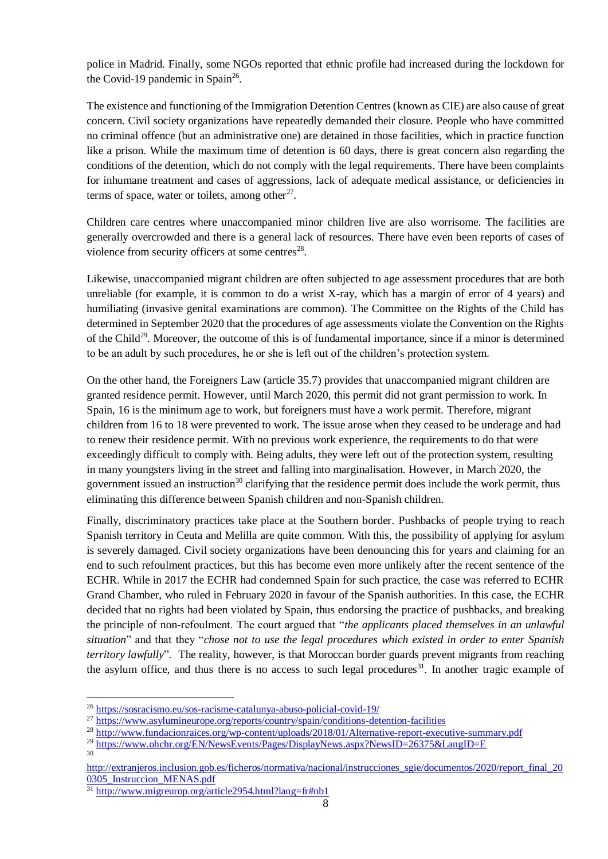police in Madrid. Finally, some NGOs reported that ethnic profile had increased during the lockdown for the Covid-19 pandemic in Spain<sup>26</sup>.

The existence and functioning of the Immigration Detention Centres (known as CIE) are also cause of great concern. Civil society organizations have repeatedly demanded their closure. People who have committed no criminal offence (but an administrative one) are detained in those facilities, which in practice function like a prison. While the maximum time of detention is 60 days, there is great concern also regarding the conditions of the detention, which do not comply with the legal requirements. There have been complaints for inhumane treatment and cases of aggressions, lack of adequate medical assistance, or deficiencies in terms of space, water or toilets, among other $^{27}$ .

Children care centres where unaccompanied minor children live are also worrisome. The facilities are generally overcrowded and there is a general lack of resources. There have even been reports of cases of violence from security officers at some centres $^{28}$ .

Likewise, unaccompanied migrant children are often subjected to age assessment procedures that are both unreliable (for example, it is common to do a wrist X-ray, which has a margin of error of 4 years) and humiliating (invasive genital examinations are common). The Committee on the Rights of the Child has determined in September 2020 that the procedures of age assessments violate the Convention on the Rights of the Child<sup>29</sup>. Moreover, the outcome of this is of fundamental importance, since if a minor is determined to be an adult by such procedures, he or she is left out of the children's protection system.

On the other hand, the Foreigners Law (article 35.7) provides that unaccompanied migrant children are granted residence permit. However, until March 2020, this permit did not grant permission to work. In Spain, 16 is the minimum age to work, but foreigners must have a work permit. Therefore, migrant children from 16 to 18 were prevented to work. The issue arose when they ceased to be underage and had to renew their residence permit. With no previous work experience, the requirements to do that were exceedingly difficult to comply with. Being adults, they were left out of the protection system, resulting in many youngsters living in the street and falling into marginalisation. However, in March 2020, the government issued an instruction<sup>30</sup> clarifying that the residence permit does include the work permit, thus eliminating this difference between Spanish children and non-Spanish children.

Finally, discriminatory practices take place at the Southern border. Pushbacks of people trying to reach Spanish territory in Ceuta and Melilla are quite common. With this, the possibility of applying for asylum is severely damaged. Civil society organizations have been denouncing this for years and claiming for an end to such refoulment practices, but this has become even more unlikely after the recent sentence of the ECHR. While in 2017 the ECHR had condemned Spain for such practice, the case was referred to ECHR Grand Chamber, who ruled in February 2020 in favour of the Spanish authorities. In this case, the ECHR decided that no rights had been violated by Spain, thus endorsing the practice of pushbacks, and breaking the principle of non-refoulment. The court argued that "*the applicants placed themselves in an unlawful situation*" and that they "*chose not to use the legal procedures which existed in order to enter Spanish territory lawfully*". The reality, however, is that Moroccan border guards prevent migrants from reaching the asylum office, and thus there is no access to such legal procedures<sup>31</sup>. In another tragic example of

 $\overline{\phantom{a}}$ 

30

<sup>26</sup> <https://sosracismo.eu/sos-racisme-catalunya-abuso-policial-covid-19/>

<sup>&</sup>lt;sup>27</sup> <https://www.asylumineurope.org/reports/country/spain/conditions-detention-facilities>

<sup>&</sup>lt;sup>28</sup> <http://www.fundacionraices.org/wp-content/uploads/2018/01/Alternative-report-executive-summary.pdf>

<sup>&</sup>lt;sup>29</sup> <https://www.ohchr.org/EN/NewsEvents/Pages/DisplayNews.aspx?NewsID=26375&LangID=E>

[http://extranjeros.inclusion.gob.es/ficheros/normativa/nacional/instrucciones\\_sgie/documentos/2020/report\\_final\\_20](http://extranjeros.inclusion.gob.es/ficheros/normativa/nacional/instrucciones_sgie/documentos/2020/report_final_200305_Instruccion_MENAS.pdf) [0305\\_Instruccion\\_MENAS.pdf](http://extranjeros.inclusion.gob.es/ficheros/normativa/nacional/instrucciones_sgie/documentos/2020/report_final_200305_Instruccion_MENAS.pdf)

<sup>&</sup>lt;sup>31</sup> <http://www.migreurop.org/article2954.html?lang=fr#nb1>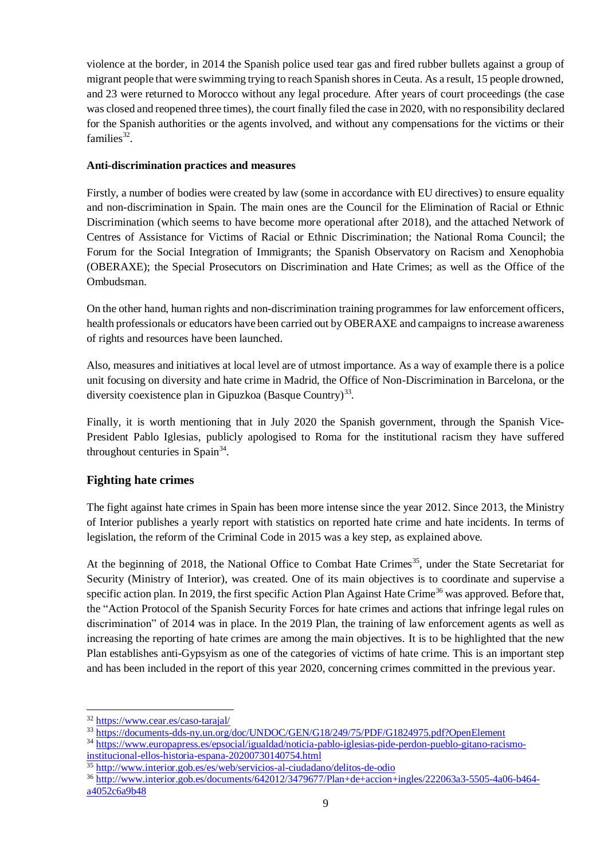violence at the border, in 2014 the Spanish police used tear gas and fired rubber bullets against a group of migrant people that were swimming trying to reach Spanish shores in Ceuta. As a result, 15 people drowned, and 23 were returned to Morocco without any legal procedure. After years of court proceedings (the case was closed and reopened three times), the court finally filed the case in 2020, with no responsibility declared for the Spanish authorities or the agents involved, and without any compensations for the victims or their families $32$ .

### **Anti-discrimination practices and measures**

Firstly, a number of bodies were created by law (some in accordance with EU directives) to ensure equality and non-discrimination in Spain. The main ones are the Council for the Elimination of Racial or Ethnic Discrimination (which seems to have become more operational after 2018), and the attached Network of Centres of Assistance for Victims of Racial or Ethnic Discrimination; the National Roma Council; the Forum for the Social Integration of Immigrants; the Spanish Observatory on Racism and Xenophobia (OBERAXE); the Special Prosecutors on Discrimination and Hate Crimes; as well as the Office of the Ombudsman.

On the other hand, human rights and non-discrimination training programmes for law enforcement officers, health professionals or educators have been carried out by OBERAXE and campaigns to increase awareness of rights and resources have been launched.

Also, measures and initiatives at local level are of utmost importance. As a way of example there is a police unit focusing on diversity and hate crime in Madrid, the Office of Non-Discrimination in Barcelona, or the diversity coexistence plan in Gipuzkoa (Basque Country)<sup>33</sup>.

Finally, it is worth mentioning that in July 2020 the Spanish government, through the Spanish Vice-President Pablo Iglesias, publicly apologised to Roma for the institutional racism they have suffered throughout centuries in Spain $34$ .

### **Fighting hate crimes**

The fight against hate crimes in Spain has been more intense since the year 2012. Since 2013, the Ministry of Interior publishes a yearly report with statistics on reported hate crime and hate incidents. In terms of legislation, the reform of the Criminal Code in 2015 was a key step, as explained above.

At the beginning of 2018, the National Office to Combat Hate Crimes<sup>35</sup>, under the State Secretariat for Security (Ministry of Interior), was created. One of its main objectives is to coordinate and supervise a specific action plan. In 2019, the first specific Action Plan Against Hate Crime<sup>36</sup> was approved. Before that, the "Action Protocol of the Spanish Security Forces for hate crimes and actions that infringe legal rules on discrimination" of 2014 was in place. In the 2019 Plan, the training of law enforcement agents as well as increasing the reporting of hate crimes are among the main objectives. It is to be highlighted that the new Plan establishes anti-Gypsyism as one of the categories of victims of hate crime. This is an important step and has been included in the report of this year 2020, concerning crimes committed in the previous year.

 $\overline{a}$ 

<sup>32</sup> <https://www.cear.es/caso-tarajal/>

<sup>33</sup> <https://documents-dds-ny.un.org/doc/UNDOC/GEN/G18/249/75/PDF/G1824975.pdf?OpenElement>

<sup>34</sup> [https://www.europapress.es/epsocial/igualdad/noticia-pablo-iglesias-pide-perdon-pueblo-gitano-racismo](https://www.europapress.es/epsocial/igualdad/noticia-pablo-iglesias-pide-perdon-pueblo-gitano-racismo-institucional-ellos-historia-espana-20200730140754.html)[institucional-ellos-historia-espana-20200730140754.html](https://www.europapress.es/epsocial/igualdad/noticia-pablo-iglesias-pide-perdon-pueblo-gitano-racismo-institucional-ellos-historia-espana-20200730140754.html)

<sup>35</sup> <http://www.interior.gob.es/es/web/servicios-al-ciudadano/delitos-de-odio>

<sup>36</sup> [http://www.interior.gob.es/documents/642012/3479677/Plan+de+accion+ingles/222063a3-5505-4a06-b464-](http://www.interior.gob.es/documents/642012/3479677/Plan+de+accion+ingles/222063a3-5505-4a06-b464-a4052c6a9b48)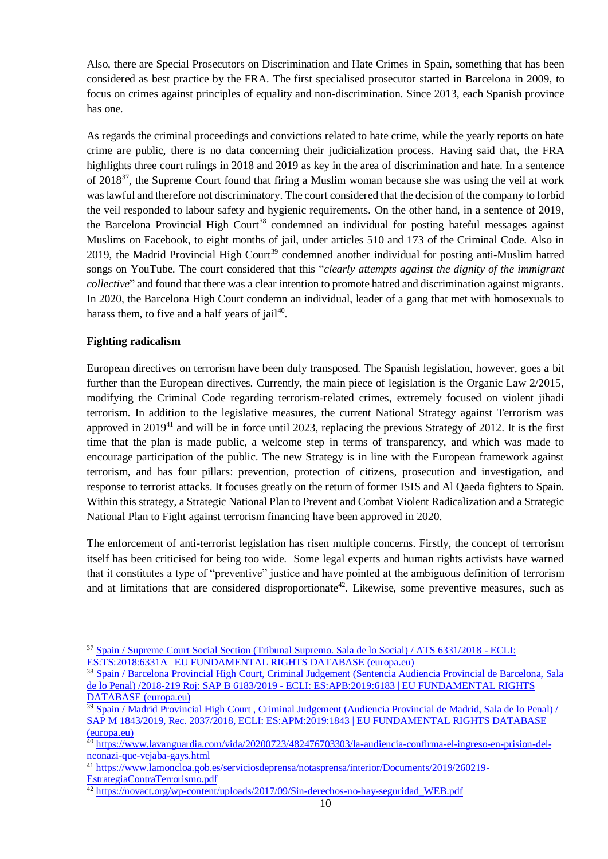Also, there are Special Prosecutors on Discrimination and Hate Crimes in Spain, something that has been considered as best practice by the FRA. The first specialised prosecutor started in Barcelona in 2009, to focus on crimes against principles of equality and non-discrimination. Since 2013, each Spanish province has one.

As regards the criminal proceedings and convictions related to hate crime, while the yearly reports on hate crime are public, there is no data concerning their judicialization process. Having said that, the FRA highlights three court rulings in 2018 and 2019 as key in the area of discrimination and hate. In a sentence of 2018<sup>37</sup>, the Supreme Court found that firing a Muslim woman because she was using the veil at work was lawful and therefore not discriminatory. The court considered that the decision of the company to forbid the veil responded to labour safety and hygienic requirements. On the other hand, in a sentence of 2019, the Barcelona Provincial High Court<sup>38</sup> condemned an individual for posting hateful messages against Muslims on Facebook, to eight months of jail, under articles 510 and 173 of the Criminal Code. Also in 2019, the Madrid Provincial High Court<sup>39</sup> condemned another individual for posting anti-Muslim hatred songs on YouTube. The court considered that this "*clearly attempts against the dignity of the immigrant collective*" and found that there was a clear intention to promote hatred and discrimination against migrants. In 2020, the Barcelona High Court condemn an individual, leader of a gang that met with homosexuals to harass them, to five and a half years of  $j$ ail<sup>40</sup>.

#### **Fighting radicalism**

l

European directives on terrorism have been duly transposed. The Spanish legislation, however, goes a bit further than the European directives. Currently, the main piece of legislation is the Organic Law 2/2015, modifying the Criminal Code regarding terrorism-related crimes, extremely focused on violent jihadi terrorism. In addition to the legislative measures, the current National Strategy against Terrorism was approved in  $2019^{41}$  and will be in force until 2023, replacing the previous Strategy of 2012. It is the first time that the plan is made public, a welcome step in terms of transparency, and which was made to encourage participation of the public. The new Strategy is in line with the European framework against terrorism, and has four pillars: prevention, protection of citizens, prosecution and investigation, and response to terrorist attacks. It focuses greatly on the return of former ISIS and Al Qaeda fighters to Spain. Within this strategy, a Strategic National Plan to Prevent and Combat Violent Radicalization and a Strategic National Plan to Fight against terrorism financing have been approved in 2020.

The enforcement of anti-terrorist legislation has risen multiple concerns. Firstly, the concept of terrorism itself has been criticised for being too wide. Some legal experts and human rights activists have warned that it constitutes a type of "preventive" justice and have pointed at the ambiguous definition of terrorism and at limitations that are considered disproportionate<sup>42</sup>. Likewise, some preventive measures, such as

<sup>37</sup> [Spain / Supreme Court Social Section \(Tribunal Supremo. Sala de lo Social\) / ATS 6331/2018 -](https://fra.europa.eu/en/databases/anti-muslim-hatred/node/6908) ECLI: ES:TS:2018:6331A [| EU FUNDAMENTAL RIGHTS DATABASE \(europa.eu\)](https://fra.europa.eu/en/databases/anti-muslim-hatred/node/6908)

<sup>38</sup> [Spain / Barcelona Provincial High Court, Criminal Judgement \(Sentencia Audiencia Provincial de Barcelona, Sala](https://fra.europa.eu/en/databases/anti-muslim-hatred/node/6931)  de lo Penal) /2018-219 Roj: SAP B 6183/2019 - [ECLI: ES:APB:2019:6183 | EU FUNDAMENTAL RIGHTS](https://fra.europa.eu/en/databases/anti-muslim-hatred/node/6931)  [DATABASE \(europa.eu\)](https://fra.europa.eu/en/databases/anti-muslim-hatred/node/6931)

<sup>&</sup>lt;sup>39</sup> Spain / Madrid Provincial High Court, Criminal Judgement (Audiencia Provincial de Madrid, Sala de lo Penal) / [SAP M 1843/2019, Rec. 2037/2018, ECLI: ES:APM:2019:1843 | EU FUNDAMENTAL RIGHTS DATABASE](https://fra.europa.eu/en/databases/anti-muslim-hatred/node/6932)  [\(europa.eu\)](https://fra.europa.eu/en/databases/anti-muslim-hatred/node/6932)

<sup>40</sup> [https://www.lavanguardia.com/vida/20200723/482476703303/la-audiencia-confirma-el-ingreso-en-prision-del](https://www.lavanguardia.com/vida/20200723/482476703303/la-audiencia-confirma-el-ingreso-en-prision-del-neonazi-que-vejaba-gays.html)[neonazi-que-vejaba-gays.html](https://www.lavanguardia.com/vida/20200723/482476703303/la-audiencia-confirma-el-ingreso-en-prision-del-neonazi-que-vejaba-gays.html)

<sup>&</sup>lt;sup>41</sup> [https://www.lamoncloa.gob.es/serviciosdeprensa/notasprensa/interior/Documents/2019/260219-](https://www.lamoncloa.gob.es/serviciosdeprensa/notasprensa/interior/Documents/2019/260219-EstrategiaContraTerrorismo.pdf) [EstrategiaContraTerrorismo.pdf](https://www.lamoncloa.gob.es/serviciosdeprensa/notasprensa/interior/Documents/2019/260219-EstrategiaContraTerrorismo.pdf)

<sup>&</sup>lt;sup>42</sup> [https://novact.org/wp-content/uploads/2017/09/Sin-derechos-no-hay-seguridad\\_WEB.pdf](https://novact.org/wp-content/uploads/2017/09/Sin-derechos-no-hay-seguridad_WEB.pdf)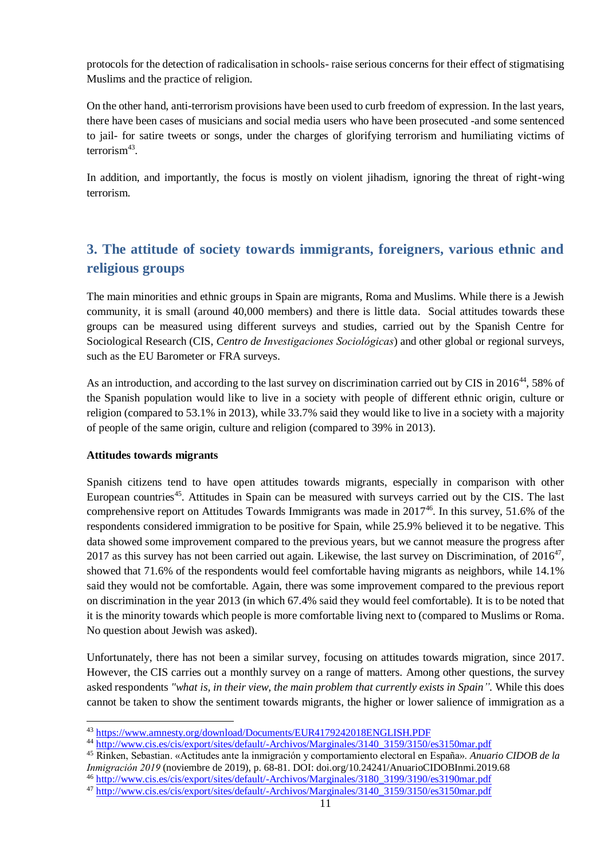protocols for the detection of radicalisation in schools- raise serious concerns for their effect of stigmatising Muslims and the practice of religion.

On the other hand, anti-terrorism provisions have been used to curb freedom of expression. In the last years, there have been cases of musicians and social media users who have been prosecuted -and some sentenced to jail- for satire tweets or songs, under the charges of glorifying terrorism and humiliating victims of terrorism<sup>43</sup>.

In addition, and importantly, the focus is mostly on violent jihadism, ignoring the threat of right-wing terrorism.

# <span id="page-10-0"></span>**3. The attitude of society towards immigrants, foreigners, various ethnic and religious groups**

The main minorities and ethnic groups in Spain are migrants, Roma and Muslims. While there is a Jewish community, it is small (around 40,000 members) and there is little data. Social attitudes towards these groups can be measured using different surveys and studies, carried out by the Spanish Centre for Sociological Research (CIS, *Centro de Investigaciones Sociológicas*) and other global or regional surveys, such as the EU Barometer or FRA surveys.

As an introduction, and according to the last survey on discrimination carried out by CIS in 2016<sup>44</sup>, 58% of the Spanish population would like to live in a society with people of different ethnic origin, culture or religion (compared to 53.1% in 2013), while 33.7% said they would like to live in a society with a majority of people of the same origin, culture and religion (compared to 39% in 2013).

#### **Attitudes towards migrants**

l

Spanish citizens tend to have open attitudes towards migrants, especially in comparison with other European countries<sup>45</sup>. Attitudes in Spain can be measured with surveys carried out by the CIS. The last comprehensive report on Attitudes Towards Immigrants was made in 2017 46 . In this survey, 51.6% of the respondents considered immigration to be positive for Spain, while 25.9% believed it to be negative. This data showed some improvement compared to the previous years, but we cannot measure the progress after 2017 as this survey has not been carried out again. Likewise, the last survey on Discrimination, of  $2016^{47}$ , showed that 71.6% of the respondents would feel comfortable having migrants as neighbors, while 14.1% said they would not be comfortable. Again, there was some improvement compared to the previous report on discrimination in the year 2013 (in which 67.4% said they would feel comfortable). It is to be noted that it is the minority towards which people is more comfortable living next to (compared to Muslims or Roma. No question about Jewish was asked).

Unfortunately, there has not been a similar survey, focusing on attitudes towards migration, since 2017. However, the CIS carries out a monthly survey on a range of matters. Among other questions, the survey asked respondents *"what is, in their view, the main problem that currently exists in Spain".* While this does cannot be taken to show the sentiment towards migrants, the higher or lower salience of immigration as a

<sup>45</sup> Rinken, Sebastian. «Actitudes ante la inmigración y comportamiento electoral en España». *Anuario CIDOB de la Inmigración 2019* (noviembre de 2019), p. 68-81. DOI: doi.org/10.24241/AnuarioCIDOBInmi.2019.68 <sup>46</sup> [http://www.cis.es/cis/export/sites/default/-Archivos/Marginales/3180\\_3199/3190/es3190mar.pdf](http://www.cis.es/cis/export/sites/default/-Archivos/Marginales/3180_3199/3190/es3190mar.pdf)

<sup>43</sup> <https://www.amnesty.org/download/Documents/EUR4179242018ENGLISH.PDF>

<sup>44</sup> [http://www.cis.es/cis/export/sites/default/-Archivos/Marginales/3140\\_3159/3150/es3150mar.pdf](http://www.cis.es/cis/export/sites/default/-Archivos/Marginales/3140_3159/3150/es3150mar.pdf)

<sup>47</sup> [http://www.cis.es/cis/export/sites/default/-Archivos/Marginales/3140\\_3159/3150/es3150mar.pdf](http://www.cis.es/cis/export/sites/default/-Archivos/Marginales/3140_3159/3150/es3150mar.pdf)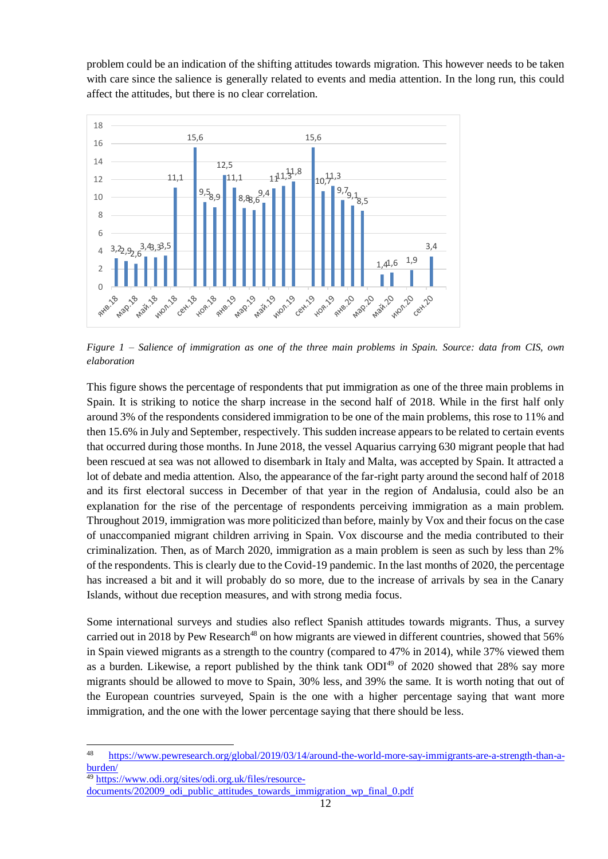problem could be an indication of the shifting attitudes towards migration. This however needs to be taken with care since the salience is generally related to events and media attention. In the long run, this could affect the attitudes, but there is no clear correlation.



*Figure 1 – Salience of immigration as one of the three main problems in Spain. Source: data from CIS, own elaboration*

This figure shows the percentage of respondents that put immigration as one of the three main problems in Spain. It is striking to notice the sharp increase in the second half of 2018. While in the first half only around 3% of the respondents considered immigration to be one of the main problems, this rose to 11% and then 15.6% in July and September, respectively. This sudden increase appears to be related to certain events that occurred during those months. In June 2018, the vessel Aquarius carrying 630 migrant people that had been rescued at sea was not allowed to disembark in Italy and Malta, was accepted by Spain. It attracted a lot of debate and media attention. Also, the appearance of the far-right party around the second half of 2018 and its first electoral success in December of that year in the region of Andalusia, could also be an explanation for the rise of the percentage of respondents perceiving immigration as a main problem. Throughout 2019, immigration was more politicized than before, mainly by Vox and their focus on the case of unaccompanied migrant children arriving in Spain. Vox discourse and the media contributed to their criminalization. Then, as of March 2020, immigration as a main problem is seen as such by less than 2% of the respondents. This is clearly due to the Covid-19 pandemic. In the last months of 2020, the percentage has increased a bit and it will probably do so more, due to the increase of arrivals by sea in the Canary Islands, without due reception measures, and with strong media focus.

Some international surveys and studies also reflect Spanish attitudes towards migrants. Thus, a survey carried out in 2018 by Pew Research<sup>48</sup> on how migrants are viewed in different countries, showed that 56% in Spain viewed migrants as a strength to the country (compared to 47% in 2014), while 37% viewed them as a burden. Likewise, a report published by the think tank  $ODI<sup>49</sup>$  of 2020 showed that 28% say more migrants should be allowed to move to Spain, 30% less, and 39% the same. It is worth noting that out of the European countries surveyed, Spain is the one with a higher percentage saying that want more immigration, and the one with the lower percentage saying that there should be less.

 $48$ [https://www.pewresearch.org/global/2019/03/14/around-the-world-more-say-immigrants-are-a-strength-than-a](https://www.pewresearch.org/global/2019/03/14/around-the-world-more-say-immigrants-are-a-strength-than-a-burden/)[burden/](https://www.pewresearch.org/global/2019/03/14/around-the-world-more-say-immigrants-are-a-strength-than-a-burden/)

<sup>49</sup> [https://www.odi.org/sites/odi.org.uk/files/resource-](https://www.odi.org/sites/odi.org.uk/files/resource-documents/202009_odi_public_attitudes_towards_immigration_wp_final_0.pdf)

[documents/202009\\_odi\\_public\\_attitudes\\_towards\\_immigration\\_wp\\_final\\_0.pdf](https://www.odi.org/sites/odi.org.uk/files/resource-documents/202009_odi_public_attitudes_towards_immigration_wp_final_0.pdf)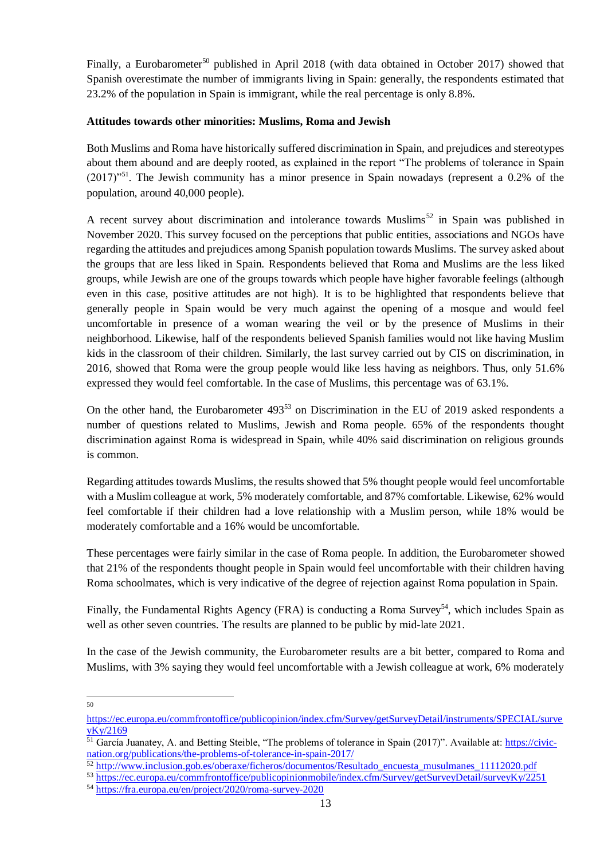Finally, a Eurobarometer<sup>50</sup> published in April 2018 (with data obtained in October 2017) showed that Spanish overestimate the number of immigrants living in Spain: generally, the respondents estimated that 23.2% of the population in Spain is immigrant, while the real percentage is only 8.8%.

#### **Attitudes towards other minorities: Muslims, Roma and Jewish**

Both Muslims and Roma have historically suffered discrimination in Spain, and prejudices and stereotypes about them abound and are deeply rooted, as explained in the report "The problems of tolerance in Spain  $(2017)^{51}$ . The Jewish community has a minor presence in Spain nowadays (represent a 0.2% of the population, around 40,000 people).

A recent survey about discrimination and intolerance towards Muslims<sup>52</sup> in Spain was published in November 2020. This survey focused on the perceptions that public entities, associations and NGOs have regarding the attitudes and prejudices among Spanish population towards Muslims. The survey asked about the groups that are less liked in Spain. Respondents believed that Roma and Muslims are the less liked groups, while Jewish are one of the groups towards which people have higher favorable feelings (although even in this case, positive attitudes are not high). It is to be highlighted that respondents believe that generally people in Spain would be very much against the opening of a mosque and would feel uncomfortable in presence of a woman wearing the veil or by the presence of Muslims in their neighborhood. Likewise, half of the respondents believed Spanish families would not like having Muslim kids in the classroom of their children. Similarly, the last survey carried out by CIS on discrimination, in 2016, showed that Roma were the group people would like less having as neighbors. Thus, only 51.6% expressed they would feel comfortable. In the case of Muslims, this percentage was of 63.1%.

On the other hand, the Eurobarometer 493<sup>53</sup> on Discrimination in the EU of 2019 asked respondents a number of questions related to Muslims, Jewish and Roma people. 65% of the respondents thought discrimination against Roma is widespread in Spain, while 40% said discrimination on religious grounds is common.

Regarding attitudes towards Muslims, the results showed that 5% thought people would feel uncomfortable with a Muslim colleague at work, 5% moderately comfortable, and 87% comfortable. Likewise, 62% would feel comfortable if their children had a love relationship with a Muslim person, while 18% would be moderately comfortable and a 16% would be uncomfortable.

These percentages were fairly similar in the case of Roma people. In addition, the Eurobarometer showed that 21% of the respondents thought people in Spain would feel uncomfortable with their children having Roma schoolmates, which is very indicative of the degree of rejection against Roma population in Spain.

Finally, the Fundamental Rights Agency (FRA) is conducting a Roma Survey<sup>54</sup>, which includes Spain as well as other seven countries. The results are planned to be public by mid-late 2021.

In the case of the Jewish community, the Eurobarometer results are a bit better, compared to Roma and Muslims, with 3% saying they would feel uncomfortable with a Jewish colleague at work, 6% moderately

 $\frac{1}{50}$ 

[https://ec.europa.eu/commfrontoffice/publicopinion/index.cfm/Survey/getSurveyDetail/instruments/SPECIAL/surve](https://ec.europa.eu/commfrontoffice/publicopinion/index.cfm/Survey/getSurveyDetail/instruments/SPECIAL/surveyKy/2169) [yKy/2169](https://ec.europa.eu/commfrontoffice/publicopinion/index.cfm/Survey/getSurveyDetail/instruments/SPECIAL/surveyKy/2169)

<sup>&</sup>lt;sup>51</sup> García Juanatey, A. and Betting Steible, "The problems of tolerance in Spain (2017)". Available at: *https://civic*[nation.org/publications/the-problems-of-tolerance-in-spain-2017/](https://civic-nation.org/publications/the-problems-of-tolerance-in-spain-2017/)

<sup>&</sup>lt;sup>52</sup> [http://www.inclusion.gob.es/oberaxe/ficheros/documentos/Resultado\\_encuesta\\_musulmanes\\_11112020.pdf](http://www.inclusion.gob.es/oberaxe/ficheros/documentos/Resultado_encuesta_musulmanes_11112020.pdf)

<sup>53</sup> <https://ec.europa.eu/commfrontoffice/publicopinionmobile/index.cfm/Survey/getSurveyDetail/surveyKy/2251>

<sup>54</sup> <https://fra.europa.eu/en/project/2020/roma-survey-2020>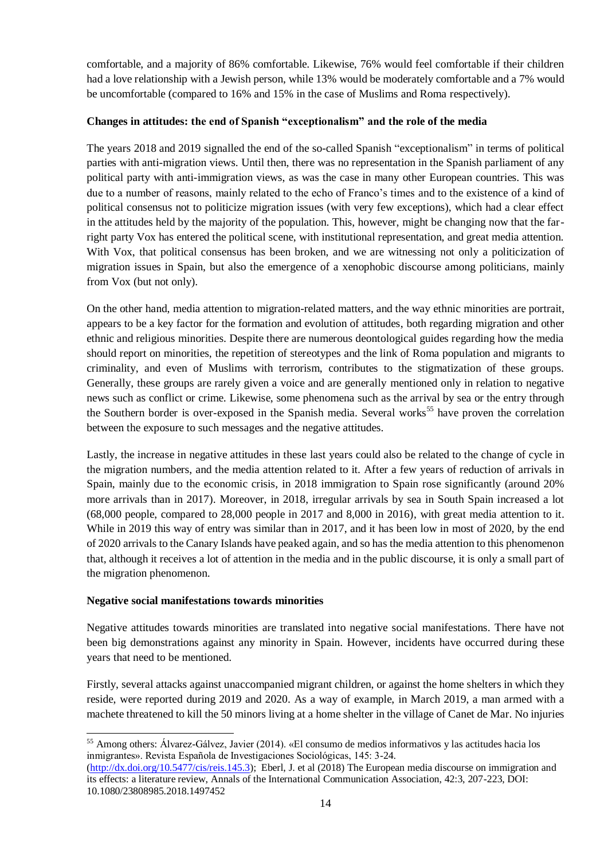comfortable, and a majority of 86% comfortable. Likewise, 76% would feel comfortable if their children had a love relationship with a Jewish person, while 13% would be moderately comfortable and a 7% would be uncomfortable (compared to 16% and 15% in the case of Muslims and Roma respectively).

#### **Changes in attitudes: the end of Spanish "exceptionalism" and the role of the media**

The years 2018 and 2019 signalled the end of the so-called Spanish "exceptionalism" in terms of political parties with anti-migration views. Until then, there was no representation in the Spanish parliament of any political party with anti-immigration views, as was the case in many other European countries. This was due to a number of reasons, mainly related to the echo of Franco's times and to the existence of a kind of political consensus not to politicize migration issues (with very few exceptions), which had a clear effect in the attitudes held by the majority of the population. This, however, might be changing now that the farright party Vox has entered the political scene, with institutional representation, and great media attention. With Vox, that political consensus has been broken, and we are witnessing not only a politicization of migration issues in Spain, but also the emergence of a xenophobic discourse among politicians, mainly from Vox (but not only).

On the other hand, media attention to migration-related matters, and the way ethnic minorities are portrait, appears to be a key factor for the formation and evolution of attitudes, both regarding migration and other ethnic and religious minorities. Despite there are numerous deontological guides regarding how the media should report on minorities, the repetition of stereotypes and the link of Roma population and migrants to criminality, and even of Muslims with terrorism, contributes to the stigmatization of these groups. Generally, these groups are rarely given a voice and are generally mentioned only in relation to negative news such as conflict or crime. Likewise, some phenomena such as the arrival by sea or the entry through the Southern border is over-exposed in the Spanish media. Several works<sup>55</sup> have proven the correlation between the exposure to such messages and the negative attitudes.

Lastly, the increase in negative attitudes in these last years could also be related to the change of cycle in the migration numbers, and the media attention related to it. After a few years of reduction of arrivals in Spain, mainly due to the economic crisis, in 2018 immigration to Spain rose significantly (around 20% more arrivals than in 2017). Moreover, in 2018, irregular arrivals by sea in South Spain increased a lot (68,000 people, compared to 28,000 people in 2017 and 8,000 in 2016), with great media attention to it. While in 2019 this way of entry was similar than in 2017, and it has been low in most of 2020, by the end of 2020 arrivals to the Canary Islands have peaked again, and so has the media attention to this phenomenon that, although it receives a lot of attention in the media and in the public discourse, it is only a small part of the migration phenomenon.

#### **Negative social manifestations towards minorities**

Negative attitudes towards minorities are translated into negative social manifestations. There have not been big demonstrations against any minority in Spain. However, incidents have occurred during these years that need to be mentioned.

Firstly, several attacks against unaccompanied migrant children, or against the home shelters in which they reside, were reported during 2019 and 2020. As a way of example, in March 2019, a man armed with a machete threatened to kill the 50 minors living at a home shelter in the village of Canet de Mar. No injuries

[\(http://dx.doi.org/10.5477/cis/reis.145.3\)](http://dx.doi.org/10.5477/cis/reis.145.3); Eberl, J. et al (2018) The European media discourse on immigration and its effects: a literature review, Annals of the International Communication Association, 42:3, 207-223, DOI: 10.1080/23808985.2018.1497452

l <sup>55</sup> Among others: Álvarez-Gálvez, Javier (2014). «El consumo de medios informativos y las actitudes hacia los inmigrantes». Revista Española de Investigaciones Sociológicas, 145: 3-24.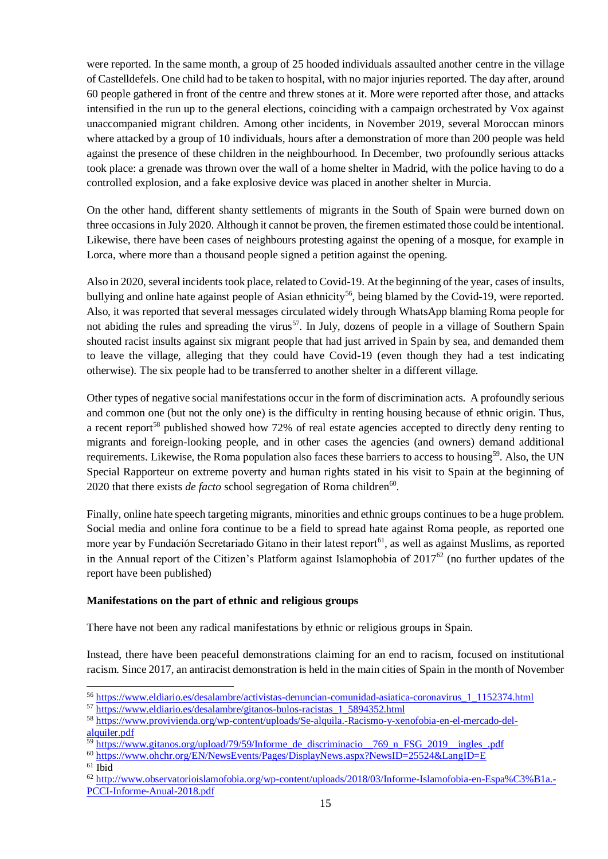were reported. In the same month, a group of 25 hooded individuals assaulted another centre in the village of Castelldefels. One child had to be taken to hospital, with no major injuries reported. The day after, around 60 people gathered in front of the centre and threw stones at it. More were reported after those, and attacks intensified in the run up to the general elections, coinciding with a campaign orchestrated by Vox against unaccompanied migrant children. Among other incidents, in November 2019, several Moroccan minors where attacked by a group of 10 individuals, hours after a demonstration of more than 200 people was held against the presence of these children in the neighbourhood. In December, two profoundly serious attacks took place: a grenade was thrown over the wall of a home shelter in Madrid, with the police having to do a controlled explosion, and a fake explosive device was placed in another shelter in Murcia.

On the other hand, different shanty settlements of migrants in the South of Spain were burned down on three occasions in July 2020. Although it cannot be proven, the firemen estimated those could be intentional. Likewise, there have been cases of neighbours protesting against the opening of a mosque, for example in Lorca, where more than a thousand people signed a petition against the opening.

Also in 2020, several incidents took place, related to Covid-19. At the beginning of the year, cases of insults, bullying and online hate against people of Asian ethnicity<sup>56</sup>, being blamed by the Covid-19, were reported. Also, it was reported that several messages circulated widely through WhatsApp blaming Roma people for not abiding the rules and spreading the virus<sup>57</sup>. In July, dozens of people in a village of Southern Spain shouted racist insults against six migrant people that had just arrived in Spain by sea, and demanded them to leave the village, alleging that they could have Covid-19 (even though they had a test indicating otherwise). The six people had to be transferred to another shelter in a different village.

Other types of negative social manifestations occur in the form of discrimination acts. A profoundly serious and common one (but not the only one) is the difficulty in renting housing because of ethnic origin. Thus, a recent report<sup>58</sup> published showed how 72% of real estate agencies accepted to directly deny renting to migrants and foreign-looking people, and in other cases the agencies (and owners) demand additional requirements. Likewise, the Roma population also faces these barriers to access to housing<sup>59</sup>. Also, the UN Special Rapporteur on extreme poverty and human rights stated in his visit to Spain at the beginning of 2020 that there exists *de facto* school segregation of Roma children<sup>60</sup>.

Finally, online hate speech targeting migrants, minorities and ethnic groups continues to be a huge problem. Social media and online fora continue to be a field to spread hate against Roma people, as reported one more year by Fundación Secretariado Gitano in their latest report<sup>61</sup>, as well as against Muslims, as reported in the Annual report of the Citizen's Platform against Islamophobia of  $2017^{62}$  (no further updates of the report have been published)

#### **Manifestations on the part of ethnic and religious groups**

There have not been any radical manifestations by ethnic or religious groups in Spain.

Instead, there have been peaceful demonstrations claiming for an end to racism, focused on institutional racism. Since 2017, an antiracist demonstration is held in the main cities of Spain in the month of November

l

<sup>56</sup> [https://www.eldiario.es/desalambre/activistas-denuncian-comunidad-asiatica-coronavirus\\_1\\_1152374.html](https://www.eldiario.es/desalambre/activistas-denuncian-comunidad-asiatica-coronavirus_1_1152374.html)

<sup>57</sup> [https://www.eldiario.es/desalambre/gitanos-bulos-racistas\\_1\\_5894352.html](https://www.eldiario.es/desalambre/gitanos-bulos-racistas_1_5894352.html)

<sup>58</sup> [https://www.provivienda.org/wp-content/uploads/Se-alquila.-Racismo-y-xenofobia-en-el-mercado-del](https://www.provivienda.org/wp-content/uploads/Se-alquila.-Racismo-y-xenofobia-en-el-mercado-del-alquiler.pdf)[alquiler.pdf](https://www.provivienda.org/wp-content/uploads/Se-alquila.-Racismo-y-xenofobia-en-el-mercado-del-alquiler.pdf)

 $\frac{59 \text{ https://www.gitanos.org/upload/79/59/Informe}{59 \text{ https://www.gitanos.org/upload/79/59/Informe}}$  de\_discriminacio\_\_769\_n\_FSG\_2019\_\_ingles\_.pdf

<sup>60</sup> <https://www.ohchr.org/EN/NewsEvents/Pages/DisplayNews.aspx?NewsID=25524&LangID=E>

<sup>61</sup> Ibid

<sup>62</sup> [http://www.observatorioislamofobia.org/wp-content/uploads/2018/03/Informe-Islamofobia-en-Espa%C3%B1a.-](http://www.observatorioislamofobia.org/wp-content/uploads/2018/03/Informe-Islamofobia-en-Espa%C3%B1a.-PCCI-Informe-Anual-2018.pdf) [PCCI-Informe-Anual-2018.pdf](http://www.observatorioislamofobia.org/wp-content/uploads/2018/03/Informe-Islamofobia-en-Espa%C3%B1a.-PCCI-Informe-Anual-2018.pdf)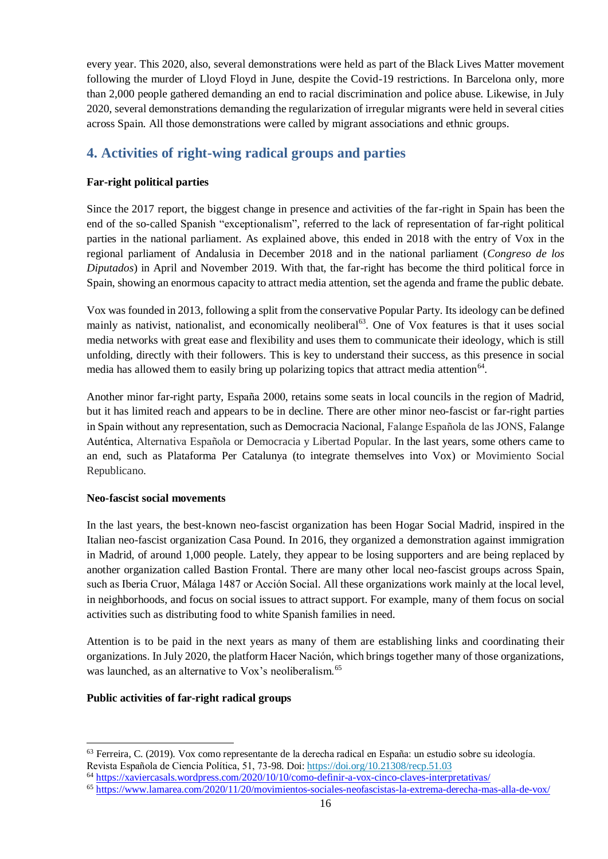every year. This 2020, also, several demonstrations were held as part of the Black Lives Matter movement following the murder of Lloyd Floyd in June, despite the Covid-19 restrictions. In Barcelona only, more than 2,000 people gathered demanding an end to racial discrimination and police abuse. Likewise, in July 2020, several demonstrations demanding the regularization of irregular migrants were held in several cities across Spain. All those demonstrations were called by migrant associations and ethnic groups.

# <span id="page-15-0"></span>**4. Activities of right-wing radical groups and parties**

### **Far-right political parties**

Since the 2017 report, the biggest change in presence and activities of the far-right in Spain has been the end of the so-called Spanish "exceptionalism", referred to the lack of representation of far-right political parties in the national parliament. As explained above, this ended in 2018 with the entry of Vox in the regional parliament of Andalusia in December 2018 and in the national parliament (*Congreso de los Diputados*) in April and November 2019. With that, the far-right has become the third political force in Spain, showing an enormous capacity to attract media attention, set the agenda and frame the public debate.

Vox was founded in 2013, following a split from the conservative Popular Party. Its ideology can be defined mainly as nativist, nationalist, and economically neoliberal<sup>63</sup>. One of Vox features is that it uses social media networks with great ease and flexibility and uses them to communicate their ideology, which is still unfolding, directly with their followers. This is key to understand their success, as this presence in social media has allowed them to easily bring up polarizing topics that attract media attention<sup>64</sup>.

Another minor far-right party, España 2000, retains some seats in local councils in the region of Madrid, but it has limited reach and appears to be in decline. There are other minor neo-fascist or far-right parties in Spain without any representation, such as Democracia Nacional, Falange Española de las JONS, Falange Auténtica, Alternativa Española or Democracia y Libertad Popular. In the last years, some others came to an end, such as Plataforma Per Catalunya (to integrate themselves into Vox) or Movimiento Social Republicano.

#### **Neo-fascist social movements**

In the last years, the best-known neo-fascist organization has been Hogar Social Madrid, inspired in the Italian neo-fascist organization Casa Pound. In 2016, they organized a demonstration against immigration in Madrid, of around 1,000 people. Lately, they appear to be losing supporters and are being replaced by another organization called Bastion Frontal. There are many other local neo-fascist groups across Spain, such as Iberia Cruor, Málaga 1487 or Acción Social. All these organizations work mainly at the local level, in neighborhoods, and focus on social issues to attract support. For example, many of them focus on social activities such as distributing food to white Spanish families in need.

Attention is to be paid in the next years as many of them are establishing links and coordinating their organizations. In July 2020, the platform Hacer Nación, which brings together many of those organizations, was launched, as an alternative to Vox's neoliberalism.<sup>65</sup>

#### **Public activities of far-right radical groups**

 $\overline{a}$ <sup>63</sup> Ferreira, C. (2019). Vox como representante de la derecha radical en España: un estudio sobre su ideología. Revista Española de Ciencia Política, 51, 73-98. Doi:<https://doi.org/10.21308/recp.51.03>

<sup>64</sup> <https://xaviercasals.wordpress.com/2020/10/10/como-definir-a-vox-cinco-claves-interpretativas/>

<sup>65</sup> <https://www.lamarea.com/2020/11/20/movimientos-sociales-neofascistas-la-extrema-derecha-mas-alla-de-vox/>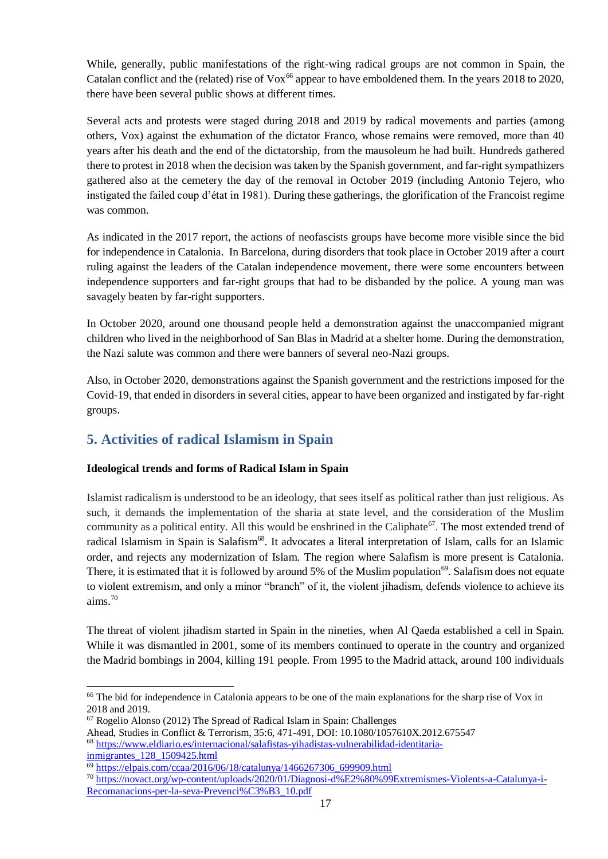While, generally, public manifestations of the right-wing radical groups are not common in Spain, the Catalan conflict and the (related) rise of  $Vox^{66}$  appear to have emboldened them. In the years 2018 to 2020, there have been several public shows at different times.

Several acts and protests were staged during 2018 and 2019 by radical movements and parties (among others, Vox) against the exhumation of the dictator Franco, whose remains were removed, more than 40 years after his death and the end of the dictatorship, from the mausoleum he had built. Hundreds gathered there to protest in 2018 when the decision was taken by the Spanish government, and far-right sympathizers gathered also at the cemetery the day of the removal in October 2019 (including Antonio Tejero, who instigated the failed coup d'état in 1981). During these gatherings, the glorification of the Francoist regime was common.

As indicated in the 2017 report, the actions of neofascists groups have become more visible since the bid for independence in Catalonia. In Barcelona, during disorders that took place in October 2019 after a court ruling against the leaders of the Catalan independence movement, there were some encounters between independence supporters and far-right groups that had to be disbanded by the police. A young man was savagely beaten by far-right supporters.

In October 2020, around one thousand people held a demonstration against the unaccompanied migrant children who lived in the neighborhood of San Blas in Madrid at a shelter home. During the demonstration, the Nazi salute was common and there were banners of several neo-Nazi groups.

Also, in October 2020, demonstrations against the Spanish government and the restrictions imposed for the Covid-19, that ended in disorders in several cities, appear to have been organized and instigated by far-right groups.

# <span id="page-16-0"></span>**5. Activities of radical Islamism in Spain**

### **Ideological trends and forms of Radical Islam in Spain**

Islamist radicalism is understood to be an ideology, that sees itself as political rather than just religious. As such, it demands the implementation of the sharia at state level, and the consideration of the Muslim community as a political entity. All this would be enshrined in the Caliphate<sup>67</sup>. The most extended trend of radical Islamism in Spain is Salafism<sup>68</sup>. It advocates a literal interpretation of Islam, calls for an Islamic order, and rejects any modernization of Islam. The region where Salafism is more present is Catalonia. There, it is estimated that it is followed by around 5% of the Muslim population<sup>69</sup>. Salafism does not equate to violent extremism, and only a minor "branch" of it, the violent jihadism, defends violence to achieve its aims.<sup>70</sup>

The threat of violent jihadism started in Spain in the nineties, when Al Qaeda established a cell in Spain. While it was dismantled in 2001, some of its members continued to operate in the country and organized the Madrid bombings in 2004, killing 191 people. From 1995 to the Madrid attack, around 100 individuals

[inmigrantes\\_128\\_1509425.html](https://www.eldiario.es/internacional/salafistas-yihadistas-vulnerabilidad-identitaria-inmigrantes_128_1509425.html)

l

<sup>&</sup>lt;sup>66</sup> The bid for independence in Catalonia appears to be one of the main explanations for the sharp rise of Vox in 2018 and 2019.

<sup>67</sup> Rogelio Alonso (2012) The Spread of Radical Islam in Spain: Challenges

Ahead, Studies in Conflict & Terrorism, 35:6, 471-491, DOI: 10.1080/1057610X.2012.675547 <sup>68</sup> [https://www.eldiario.es/internacional/salafistas-yihadistas-vulnerabilidad-identitaria-](https://www.eldiario.es/internacional/salafistas-yihadistas-vulnerabilidad-identitaria-inmigrantes_128_1509425.html)

 $^{69}$  [https://elpais.com/ccaa/2016/06/18/catalunya/1466267306\\_699909.html](https://elpais.com/ccaa/2016/06/18/catalunya/1466267306_699909.html)

<sup>70</sup> [https://novact.org/wp-content/uploads/2020/01/Diagnosi-d%E2%80%99Extremismes-Violents-a-Catalunya-i-](https://novact.org/wp-content/uploads/2020/01/Diagnosi-d%E2%80%99Extremismes-Violents-a-Catalunya-i-Recomanacions-per-la-seva-Prevenci%C3%B3_10.pdf)[Recomanacions-per-la-seva-Prevenci%C3%B3\\_10.pdf](https://novact.org/wp-content/uploads/2020/01/Diagnosi-d%E2%80%99Extremismes-Violents-a-Catalunya-i-Recomanacions-per-la-seva-Prevenci%C3%B3_10.pdf)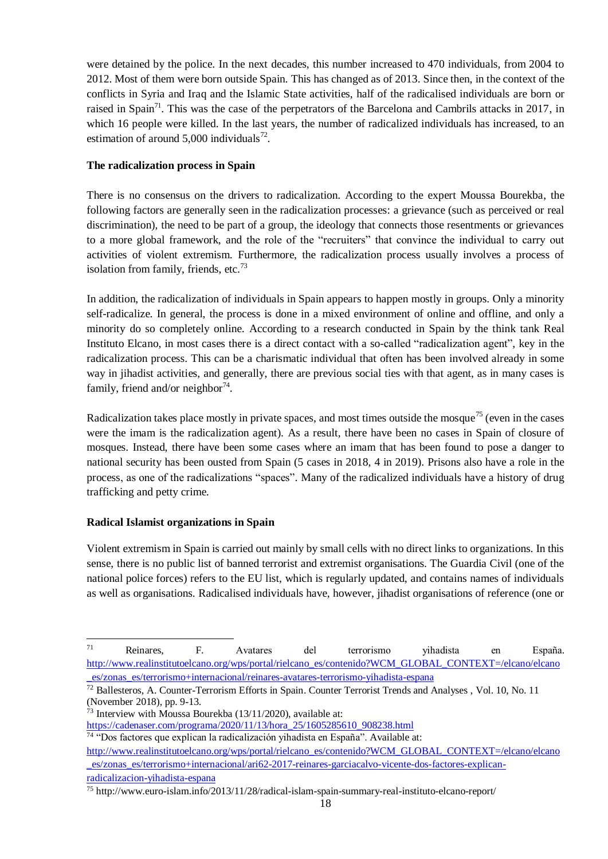were detained by the police. In the next decades, this number increased to 470 individuals, from 2004 to 2012. Most of them were born outside Spain. This has changed as of 2013. Since then, in the context of the conflicts in Syria and Iraq and the Islamic State activities, half of the radicalised individuals are born or raised in Spain<sup>71</sup>. This was the case of the perpetrators of the Barcelona and Cambrils attacks in 2017, in which 16 people were killed. In the last years, the number of radicalized individuals has increased, to an estimation of around  $5,000$  individuals<sup>72</sup>.

#### **The radicalization process in Spain**

There is no consensus on the drivers to radicalization. According to the expert Moussa Bourekba, the following factors are generally seen in the radicalization processes: a grievance (such as perceived or real discrimination), the need to be part of a group, the ideology that connects those resentments or grievances to a more global framework, and the role of the "recruiters" that convince the individual to carry out activities of violent extremism. Furthermore, the radicalization process usually involves a process of isolation from family, friends, etc.<sup>73</sup>

In addition, the radicalization of individuals in Spain appears to happen mostly in groups. Only a minority self-radicalize. In general, the process is done in a mixed environment of online and offline, and only a minority do so completely online. According to a research conducted in Spain by the think tank Real Instituto Elcano, in most cases there is a direct contact with a so-called "radicalization agent", key in the radicalization process. This can be a charismatic individual that often has been involved already in some way in jihadist activities, and generally, there are previous social ties with that agent, as in many cases is family, friend and/or neighbor $74$ .

Radicalization takes place mostly in private spaces, and most times outside the mosque<sup>75</sup> (even in the cases were the imam is the radicalization agent). As a result, there have been no cases in Spain of closure of mosques. Instead, there have been some cases where an imam that has been found to pose a danger to national security has been ousted from Spain (5 cases in 2018, 4 in 2019). Prisons also have a role in the process, as one of the radicalizations "spaces". Many of the radicalized individuals have a history of drug trafficking and petty crime.

#### **Radical Islamist organizations in Spain**

l

Violent extremism in Spain is carried out mainly by small cells with no direct links to organizations. In this sense, there is no public list of banned terrorist and extremist organisations. The Guardia Civil (one of the national police forces) refers to the EU list, which is regularly updated, and contains names of individuals as well as organisations. Radicalised individuals have, however, jihadist organisations of reference (one or

<sup>71</sup> Reinares, F. Avatares del terrorismo yihadista en España. [http://www.realinstitutoelcano.org/wps/portal/rielcano\\_es/contenido?WCM\\_GLOBAL\\_CONTEXT=/elcano/elcano](http://www.realinstitutoelcano.org/wps/portal/rielcano_es/contenido?WCM_GLOBAL_CONTEXT=/elcano/elcano_es/zonas_es/terrorismo+internacional/reinares-avatares-terrorismo-yihadista-espana) [\\_es/zonas\\_es/terrorismo+internacional/reinares-avatares-terrorismo-yihadista-espana](http://www.realinstitutoelcano.org/wps/portal/rielcano_es/contenido?WCM_GLOBAL_CONTEXT=/elcano/elcano_es/zonas_es/terrorismo+internacional/reinares-avatares-terrorismo-yihadista-espana)

 $\frac{72}{2}$  Ballesteros, A. Counter-Terrorism Efforts in Spain. Counter Terrorist Trends and Analyses, Vol. 10, No. 11 (November 2018), pp. 9-13.

<sup>73</sup> Interview with Moussa Bourekba (13/11/2020), available at:

[https://cadenaser.com/programa/2020/11/13/hora\\_25/1605285610\\_908238.html](https://cadenaser.com/programa/2020/11/13/hora_25/1605285610_908238.html)

<sup>74</sup> "Dos factores que explican la radicalización yihadista en España". Available at:

[http://www.realinstitutoelcano.org/wps/portal/rielcano\\_es/contenido?WCM\\_GLOBAL\\_CONTEXT=/elcano/elcano](http://www.realinstitutoelcano.org/wps/portal/rielcano_es/contenido?WCM_GLOBAL_CONTEXT=/elcano/elcano_es/zonas_es/terrorismo+internacional/ari62-2017-reinares-garciacalvo-vicente-dos-factores-explican-radicalizacion-yihadista-espana) [\\_es/zonas\\_es/terrorismo+internacional/ari62-2017-reinares-garciacalvo-vicente-dos-factores-explican](http://www.realinstitutoelcano.org/wps/portal/rielcano_es/contenido?WCM_GLOBAL_CONTEXT=/elcano/elcano_es/zonas_es/terrorismo+internacional/ari62-2017-reinares-garciacalvo-vicente-dos-factores-explican-radicalizacion-yihadista-espana)[radicalizacion-yihadista-espana](http://www.realinstitutoelcano.org/wps/portal/rielcano_es/contenido?WCM_GLOBAL_CONTEXT=/elcano/elcano_es/zonas_es/terrorismo+internacional/ari62-2017-reinares-garciacalvo-vicente-dos-factores-explican-radicalizacion-yihadista-espana)

<sup>75</sup> http://www.euro-islam.info/2013/11/28/radical-islam-spain-summary-real-instituto-elcano-report/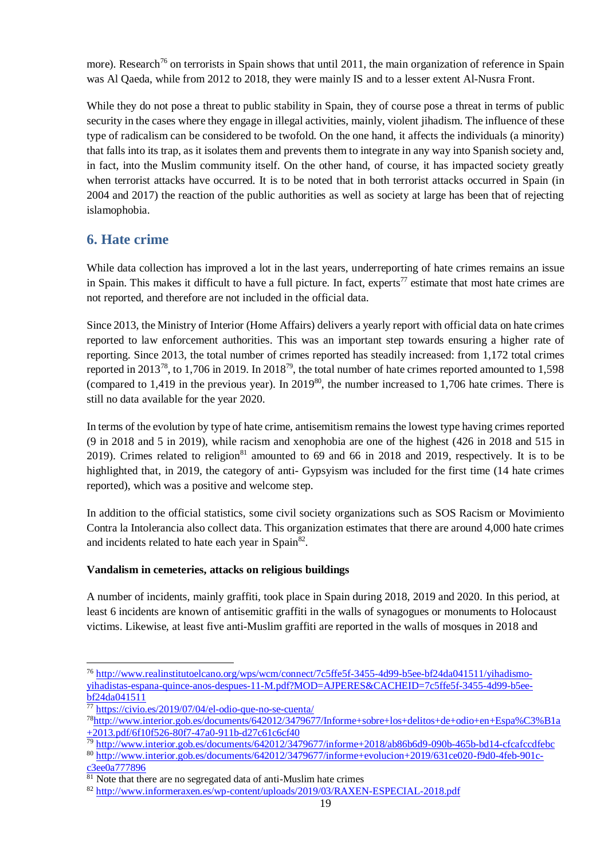more). Research<sup>76</sup> on terrorists in Spain shows that until 2011, the main organization of reference in Spain was Al Qaeda, while from 2012 to 2018, they were mainly IS and to a lesser extent Al-Nusra Front.

While they do not pose a threat to public stability in Spain, they of course pose a threat in terms of public security in the cases where they engage in illegal activities, mainly, violent jihadism. The influence of these type of radicalism can be considered to be twofold. On the one hand, it affects the individuals (a minority) that falls into its trap, as it isolates them and prevents them to integrate in any way into Spanish society and, in fact, into the Muslim community itself. On the other hand, of course, it has impacted society greatly when terrorist attacks have occurred. It is to be noted that in both terrorist attacks occurred in Spain (in 2004 and 2017) the reaction of the public authorities as well as society at large has been that of rejecting islamophobia.

## <span id="page-18-0"></span>**6. Hate crime**

While data collection has improved a lot in the last years, underreporting of hate crimes remains an issue in Spain. This makes it difficult to have a full picture. In fact, experts<sup>77</sup> estimate that most hate crimes are not reported, and therefore are not included in the official data.

Since 2013, the Ministry of Interior (Home Affairs) delivers a yearly report with official data on hate crimes reported to law enforcement authorities. This was an important step towards ensuring a higher rate of reporting. Since 2013, the total number of crimes reported has steadily increased: from 1,172 total crimes reported in 2013<sup>78</sup>, to 1,706 in 2019. In 2018<sup>79</sup>, the total number of hate crimes reported amounted to 1,598 (compared to  $1,419$  in the previous year). In  $2019^{80}$ , the number increased to  $1,706$  hate crimes. There is still no data available for the year 2020.

In terms of the evolution by type of hate crime, antisemitism remains the lowest type having crimes reported (9 in 2018 and 5 in 2019), while racism and xenophobia are one of the highest (426 in 2018 and 515 in 2019). Crimes related to religion $81$  amounted to 69 and 66 in 2018 and 2019, respectively. It is to be highlighted that, in 2019, the category of anti- Gypsyism was included for the first time (14 hate crimes reported), which was a positive and welcome step.

In addition to the official statistics, some civil society organizations such as SOS Racism or Movimiento Contra la Intolerancia also collect data. This organization estimates that there are around 4,000 hate crimes and incidents related to hate each year in Spain<sup>82</sup>.

#### **Vandalism in cemeteries, attacks on religious buildings**

A number of incidents, mainly graffiti, took place in Spain during 2018, 2019 and 2020. In this period, at least 6 incidents are known of antisemitic graffiti in the walls of synagogues or monuments to Holocaust victims. Likewise, at least five anti-Muslim graffiti are reported in the walls of mosques in 2018 and

<sup>79</sup> <http://www.interior.gob.es/documents/642012/3479677/informe+2018/ab86b6d9-090b-465b-bd14-cfcafccdfebc>

 $\overline{a}$ <sup>76</sup> [http://www.realinstitutoelcano.org/wps/wcm/connect/7c5ffe5f-3455-4d99-b5ee-bf24da041511/yihadismo](http://www.realinstitutoelcano.org/wps/wcm/connect/7c5ffe5f-3455-4d99-b5ee-bf24da041511/yihadismo-yihadistas-espana-quince-anos-despues-11-M.pdf?MOD=AJPERES&CACHEID=7c5ffe5f-3455-4d99-b5ee-bf24da041511)[yihadistas-espana-quince-anos-despues-11-M.pdf?MOD=AJPERES&CACHEID=7c5ffe5f-3455-4d99-b5ee](http://www.realinstitutoelcano.org/wps/wcm/connect/7c5ffe5f-3455-4d99-b5ee-bf24da041511/yihadismo-yihadistas-espana-quince-anos-despues-11-M.pdf?MOD=AJPERES&CACHEID=7c5ffe5f-3455-4d99-b5ee-bf24da041511)[bf24da041511](http://www.realinstitutoelcano.org/wps/wcm/connect/7c5ffe5f-3455-4d99-b5ee-bf24da041511/yihadismo-yihadistas-espana-quince-anos-despues-11-M.pdf?MOD=AJPERES&CACHEID=7c5ffe5f-3455-4d99-b5ee-bf24da041511)

 $77$  <https://civio.es/2019/07/04/el-odio-que-no-se-cuenta/>

<sup>78</sup>[http://www.interior.gob.es/documents/642012/3479677/Informe+sobre+los+delitos+de+odio+en+Espa%C3%B1a](http://www.interior.gob.es/documents/642012/3479677/Informe+sobre+los+delitos+de+odio+en+Espa%C3%B1a+2013.pdf/6f10f526-80f7-47a0-911b-d27c61c6cf40) [+2013.pdf/6f10f526-80f7-47a0-911b-d27c61c6cf40](http://www.interior.gob.es/documents/642012/3479677/Informe+sobre+los+delitos+de+odio+en+Espa%C3%B1a+2013.pdf/6f10f526-80f7-47a0-911b-d27c61c6cf40)

<sup>80</sup> [http://www.interior.gob.es/documents/642012/3479677/informe+evolucion+2019/631ce020-f9d0-4feb-901c](http://www.interior.gob.es/documents/642012/3479677/informe+evolucion+2019/631ce020-f9d0-4feb-901c-c3ee0a777896)[c3ee0a777896](http://www.interior.gob.es/documents/642012/3479677/informe+evolucion+2019/631ce020-f9d0-4feb-901c-c3ee0a777896)

 $81$  Note that there are no segregated data of anti-Muslim hate crimes

<sup>82</sup> <http://www.informeraxen.es/wp-content/uploads/2019/03/RAXEN-ESPECIAL-2018.pdf>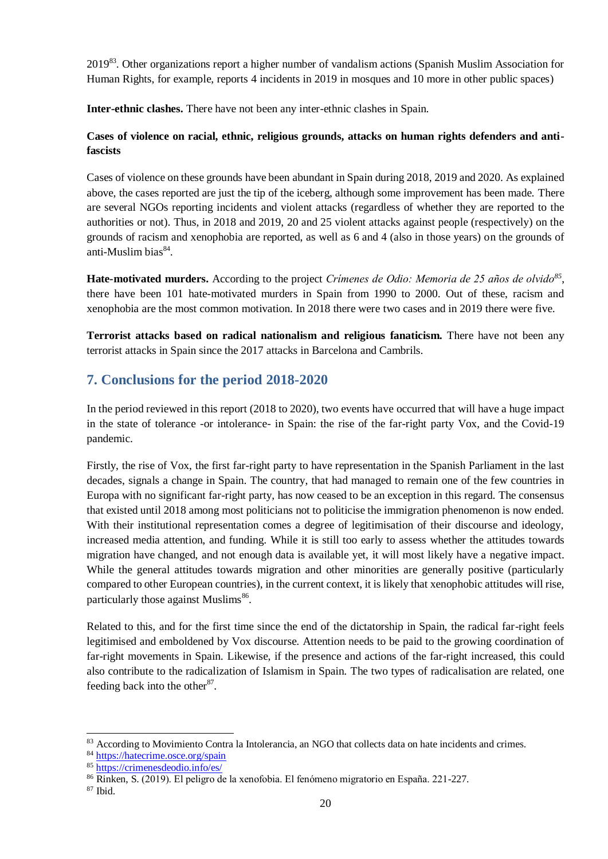2019<sup>83</sup>. Other organizations report a higher number of vandalism actions (Spanish Muslim Association for Human Rights, for example, reports 4 incidents in 2019 in mosques and 10 more in other public spaces)

**Inter-ethnic clashes.** There have not been any inter-ethnic clashes in Spain.

### **Cases of violence on racial, ethnic, religious grounds, attacks on human rights defenders and antifascists**

Cases of violence on these grounds have been abundant in Spain during 2018, 2019 and 2020. As explained above, the cases reported are just the tip of the iceberg, although some improvement has been made. There are several NGOs reporting incidents and violent attacks (regardless of whether they are reported to the authorities or not). Thus, in 2018 and 2019, 20 and 25 violent attacks against people (respectively) on the grounds of racism and xenophobia are reported, as well as 6 and 4 (also in those years) on the grounds of anti-Muslim bias<sup>84</sup>.

**Hate-motivated murders.** According to the project *Crímenes de Odio: Memoria de 25 años de olvido<sup>85</sup>* , there have been 101 hate-motivated murders in Spain from 1990 to 2000. Out of these, racism and xenophobia are the most common motivation. In 2018 there were two cases and in 2019 there were five.

**Terrorist attacks based on radical nationalism and religious fanaticism.** There have not been any terrorist attacks in Spain since the 2017 attacks in Barcelona and Cambrils.

# <span id="page-19-0"></span>**7. Conclusions for the period 2018-2020**

In the period reviewed in this report (2018 to 2020), two events have occurred that will have a huge impact in the state of tolerance -or intolerance- in Spain: the rise of the far-right party Vox, and the Covid-19 pandemic.

Firstly, the rise of Vox, the first far-right party to have representation in the Spanish Parliament in the last decades, signals a change in Spain. The country, that had managed to remain one of the few countries in Europa with no significant far-right party, has now ceased to be an exception in this regard. The consensus that existed until 2018 among most politicians not to politicise the immigration phenomenon is now ended. With their institutional representation comes a degree of legitimisation of their discourse and ideology, increased media attention, and funding. While it is still too early to assess whether the attitudes towards migration have changed, and not enough data is available yet, it will most likely have a negative impact. While the general attitudes towards migration and other minorities are generally positive (particularly compared to other European countries), in the current context, it is likely that xenophobic attitudes will rise, particularly those against Muslims<sup>86</sup>.

Related to this, and for the first time since the end of the dictatorship in Spain, the radical far-right feels legitimised and emboldened by Vox discourse. Attention needs to be paid to the growing coordination of far-right movements in Spain. Likewise, if the presence and actions of the far-right increased, this could also contribute to the radicalization of Islamism in Spain. The two types of radicalisation are related, one feeding back into the other $87$ .

l 83 According to Movimiento Contra la Intolerancia, an NGO that collects data on hate incidents and crimes.

<sup>84</sup> <https://hatecrime.osce.org/spain>

<sup>85</sup> <https://crimenesdeodio.info/es/>

<sup>86</sup> Rinken, S. (2019). El peligro de la xenofobia. El fenómeno migratorio en España. 221-227.

 $87$  Ibid.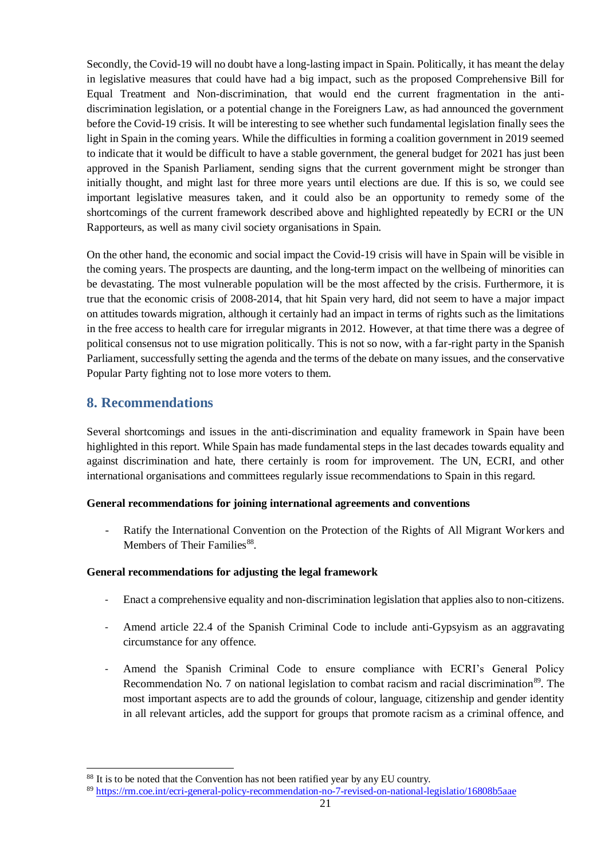Secondly, the Covid-19 will no doubt have a long-lasting impact in Spain. Politically, it has meant the delay in legislative measures that could have had a big impact, such as the proposed Comprehensive Bill for Equal Treatment and Non-discrimination, that would end the current fragmentation in the antidiscrimination legislation, or a potential change in the Foreigners Law, as had announced the government before the Covid-19 crisis. It will be interesting to see whether such fundamental legislation finally sees the light in Spain in the coming years. While the difficulties in forming a coalition government in 2019 seemed to indicate that it would be difficult to have a stable government, the general budget for 2021 has just been approved in the Spanish Parliament, sending signs that the current government might be stronger than initially thought, and might last for three more years until elections are due. If this is so, we could see important legislative measures taken, and it could also be an opportunity to remedy some of the shortcomings of the current framework described above and highlighted repeatedly by ECRI or the UN Rapporteurs, as well as many civil society organisations in Spain.

On the other hand, the economic and social impact the Covid-19 crisis will have in Spain will be visible in the coming years. The prospects are daunting, and the long-term impact on the wellbeing of minorities can be devastating. The most vulnerable population will be the most affected by the crisis. Furthermore, it is true that the economic crisis of 2008-2014, that hit Spain very hard, did not seem to have a major impact on attitudes towards migration, although it certainly had an impact in terms of rights such as the limitations in the free access to health care for irregular migrants in 2012. However, at that time there was a degree of political consensus not to use migration politically. This is not so now, with a far-right party in the Spanish Parliament, successfully setting the agenda and the terms of the debate on many issues, and the conservative Popular Party fighting not to lose more voters to them.

## <span id="page-20-0"></span>**8. Recommendations**

 $\overline{a}$ 

Several shortcomings and issues in the anti-discrimination and equality framework in Spain have been highlighted in this report. While Spain has made fundamental steps in the last decades towards equality and against discrimination and hate, there certainly is room for improvement. The UN, ECRI, and other international organisations and committees regularly issue recommendations to Spain in this regard.

#### **General recommendations for joining international agreements and conventions**

- Ratify the International Convention on the Protection of the Rights of All Migrant Workers and Members of Their Families<sup>88</sup>.

#### **General recommendations for adjusting the legal framework**

- Enact a comprehensive equality and non-discrimination legislation that applies also to non-citizens.
- Amend article 22.4 of the Spanish Criminal Code to include anti-Gypsyism as an aggravating circumstance for any offence.
- Amend the Spanish Criminal Code to ensure compliance with ECRI's General Policy Recommendation No. 7 on national legislation to combat racism and racial discrimination<sup>89</sup>. The most important aspects are to add the grounds of colour, language, citizenship and gender identity in all relevant articles, add the support for groups that promote racism as a criminal offence, and

<sup>&</sup>lt;sup>88</sup> It is to be noted that the Convention has not been ratified year by any EU country.

<sup>89</sup> <https://rm.coe.int/ecri-general-policy-recommendation-no-7-revised-on-national-legislatio/16808b5aae>